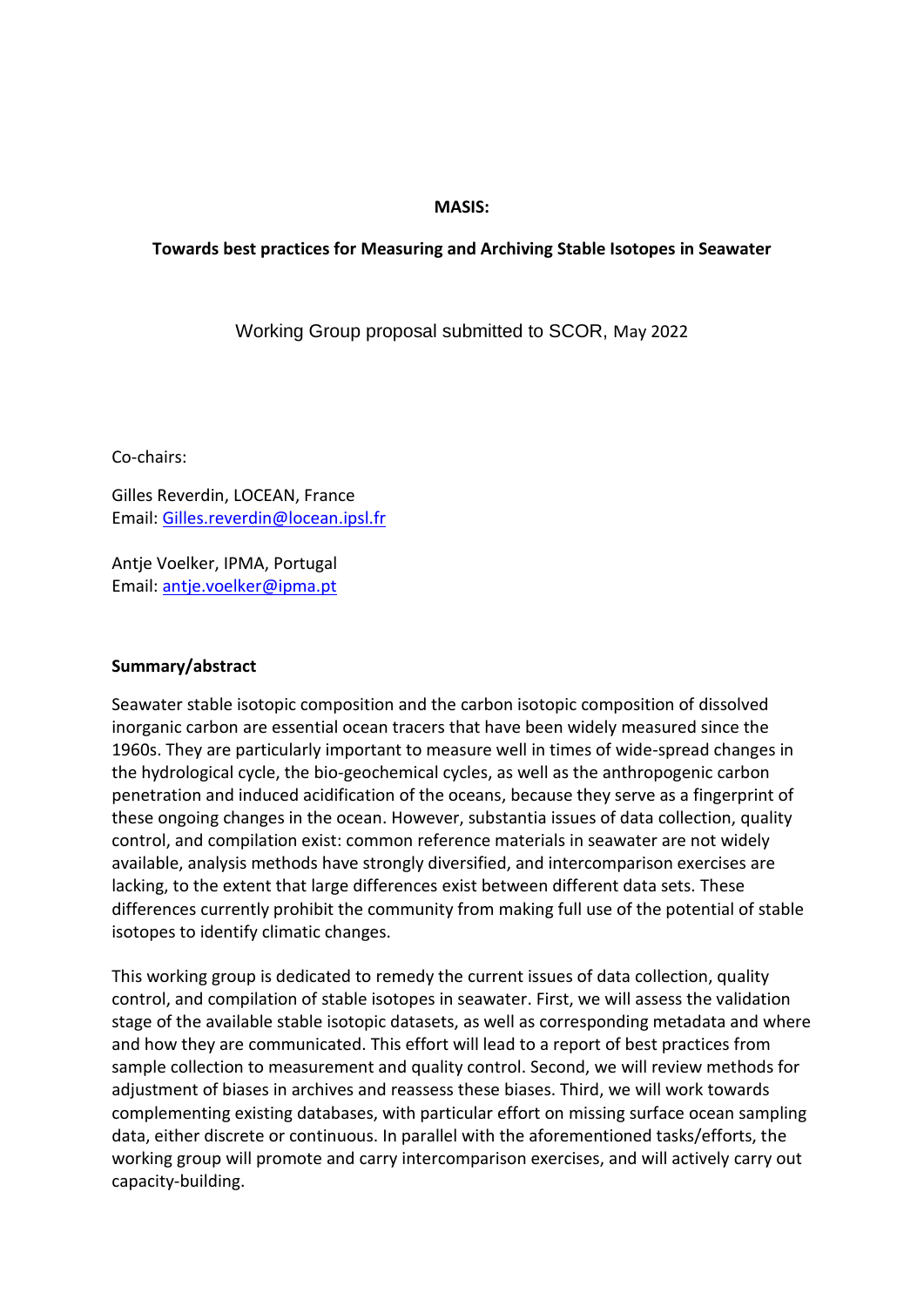#### **MASIS:**

#### **Towards best practices for Measuring and Archiving Stable Isotopes in Seawater**

Working Group proposal submitted to SCOR, May 2022

Co-chairs:

Gilles Reverdin, LOCEAN, France Email: [Gilles.reverdin@locean.ipsl.fr](mailto:Gilles.reverdin@locean.ipsl.fr)

Antje Voelker, IPMA, Portugal Email: [antje.voelker@ipma.pt](mailto:antje.voelker@ipma.pt)

#### **Summary/abstract**

Seawater stable isotopic composition and the carbon isotopic composition of dissolved inorganic carbon are essential ocean tracers that have been widely measured since the 1960s. They are particularly important to measure well in times of wide-spread changes in the hydrological cycle, the bio-geochemical cycles, as well as the anthropogenic carbon penetration and induced acidification of the oceans, because they serve as a fingerprint of these ongoing changes in the ocean. However, substantia issues of data collection, quality control, and compilation exist: common reference materials in seawater are not widely available, analysis methods have strongly diversified, and intercomparison exercises are lacking, to the extent that large differences exist between different data sets. These differences currently prohibit the community from making full use of the potential of stable isotopes to identify climatic changes.

This working group is dedicated to remedy the current issues of data collection, quality control, and compilation of stable isotopes in seawater. First, we will assess the validation stage of the available stable isotopic datasets, as well as corresponding metadata and where and how they are communicated. This effort will lead to a report of best practices from sample collection to measurement and quality control. Second, we will review methods for adjustment of biases in archives and reassess these biases. Third, we will work towards complementing existing databases, with particular effort on missing surface ocean sampling data, either discrete or continuous. In parallel with the aforementioned tasks/efforts, the working group will promote and carry intercomparison exercises, and will actively carry out capacity-building.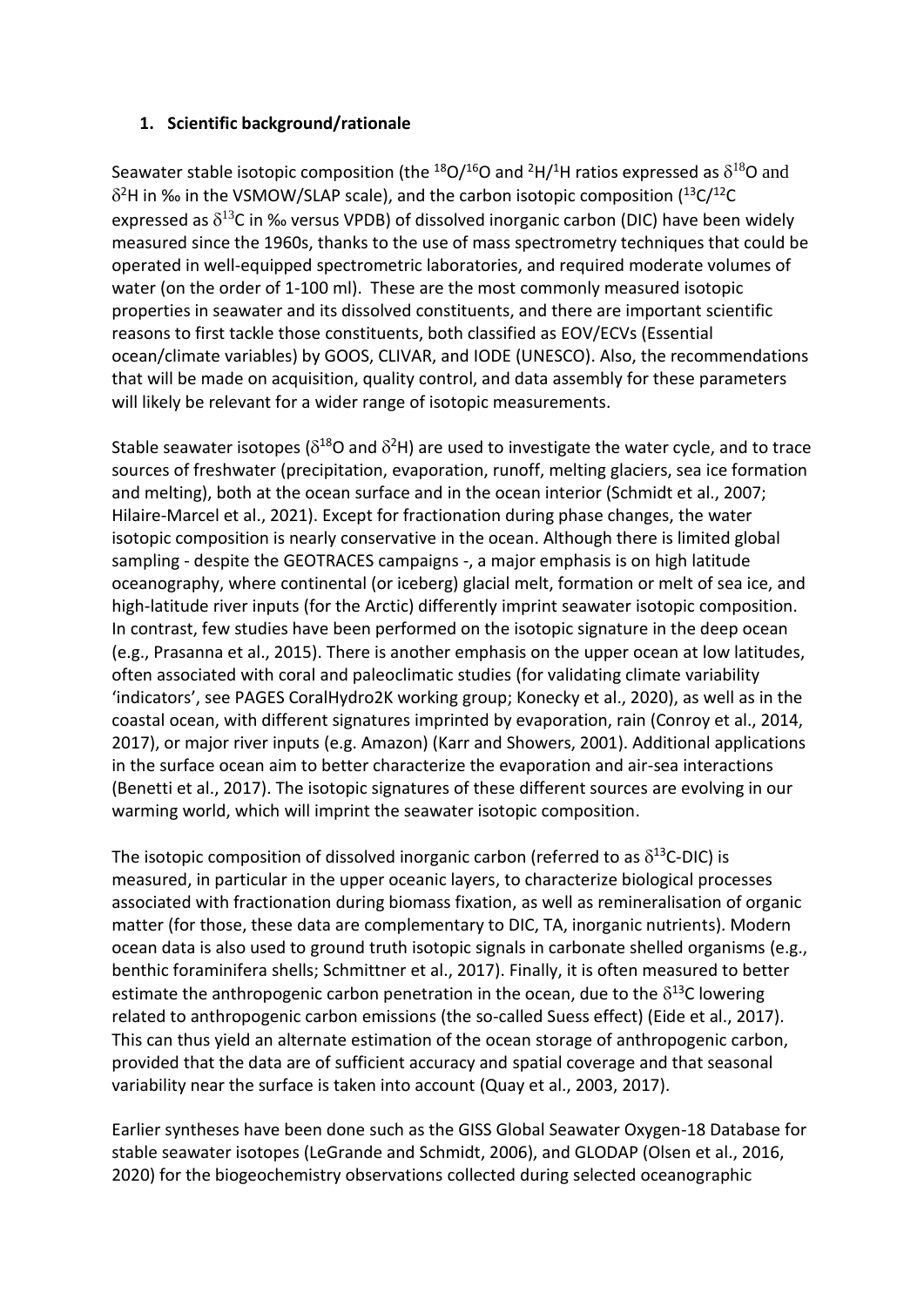## **1. Scientific background/rationale**

Seawater stable isotopic composition (the  $^{18}O/^{16}O$  and <sup>2</sup>H/<sup>1</sup>H ratios expressed as  $\delta^{18}O$  and  $\delta^2$ H in ‰ in the VSMOW/SLAP scale), and the carbon isotopic composition ( $^{13}$ C/ $^{12}$ C expressed as  $\delta^{13}$ C in ‰ versus VPDB) of dissolved inorganic carbon (DIC) have been widely measured since the 1960s, thanks to the use of mass spectrometry techniques that could be operated in well-equipped spectrometric laboratories, and required moderate volumes of water (on the order of 1-100 ml). These are the most commonly measured isotopic properties in seawater and its dissolved constituents, and there are important scientific reasons to first tackle those constituents, both classified as EOV/ECVs (Essential ocean/climate variables) by GOOS, CLIVAR, and IODE (UNESCO). Also, the recommendations that will be made on acquisition, quality control, and data assembly for these parameters will likely be relevant for a wider range of isotopic measurements.

Stable seawater isotopes ( $\delta^{18}$ O and  $\delta^{2}$ H) are used to investigate the water cycle, and to trace sources of freshwater (precipitation, evaporation, runoff, melting glaciers, sea ice formation and melting), both at the ocean surface and in the ocean interior (Schmidt et al., 2007; Hilaire-Marcel et al., 2021). Except for fractionation during phase changes, the water isotopic composition is nearly conservative in the ocean. Although there is limited global sampling - despite the GEOTRACES campaigns -, a major emphasis is on high latitude oceanography, where continental (or iceberg) glacial melt, formation or melt of sea ice, and high-latitude river inputs (for the Arctic) differently imprint seawater isotopic composition. In contrast, few studies have been performed on the isotopic signature in the deep ocean (e.g., Prasanna et al., 2015). There is another emphasis on the upper ocean at low latitudes, often associated with coral and paleoclimatic studies (for validating climate variability 'indicators', see PAGES CoralHydro2K working group; Konecky et al., 2020), as well as in the coastal ocean, with different signatures imprinted by evaporation, rain (Conroy et al., 2014, 2017), or major river inputs (e.g. Amazon) (Karr and Showers, 2001). Additional applications in the surface ocean aim to better characterize the evaporation and air-sea interactions (Benetti et al., 2017). The isotopic signatures of these different sources are evolving in our warming world, which will imprint the seawater isotopic composition.

The isotopic composition of dissolved inorganic carbon (referred to as  $\delta^{13}$ C-DIC) is measured, in particular in the upper oceanic layers, to characterize biological processes associated with fractionation during biomass fixation, as well as remineralisation of organic matter (for those, these data are complementary to DIC, TA, inorganic nutrients). Modern ocean data is also used to ground truth isotopic signals in carbonate shelled organisms (e.g., benthic foraminifera shells; Schmittner et al., 2017). Finally, it is often measured to better estimate the anthropogenic carbon penetration in the ocean, due to the  $\delta^{13}$ C lowering related to anthropogenic carbon emissions (the so-called Suess effect) (Eide et al., 2017). This can thus yield an alternate estimation of the ocean storage of anthropogenic carbon, provided that the data are of sufficient accuracy and spatial coverage and that seasonal variability near the surface is taken into account (Quay et al., 2003, 2017).

Earlier syntheses have been done such as the GISS Global Seawater Oxygen-18 Database for stable seawater isotopes (LeGrande and Schmidt, 2006), and GLODAP (Olsen et al., 2016, 2020) for the biogeochemistry observations collected during selected oceanographic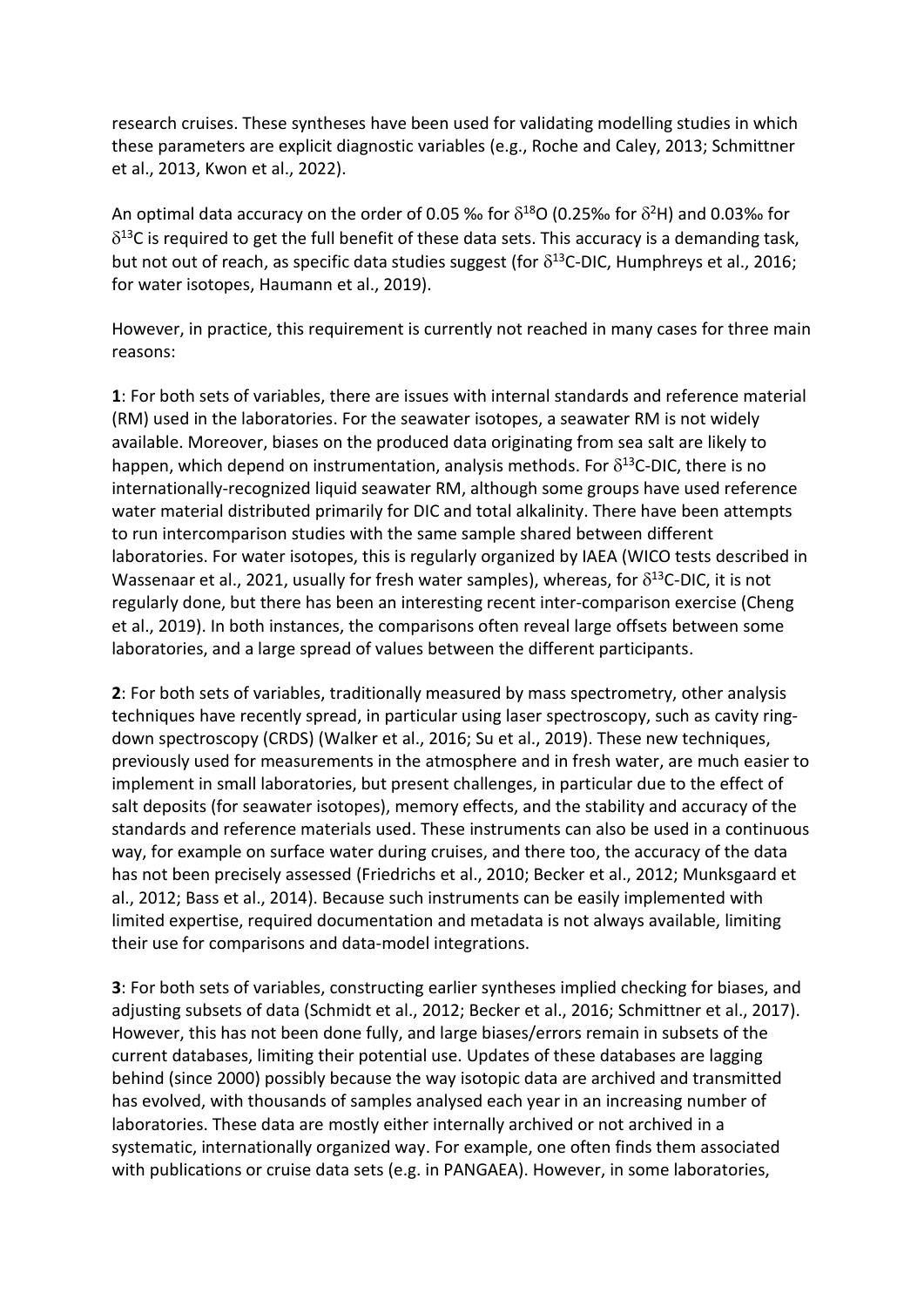research cruises. These syntheses have been used for validating modelling studies in which these parameters are explicit diagnostic variables (e.g., Roche and Caley, 2013; Schmittner et al., 2013, Kwon et al., 2022).

An optimal data accuracy on the order of 0.05 ‰ for  $\delta^{18}$ O (0.25‰ for  $\delta^{2}$ H) and 0.03‰ for  $\delta^{13}$ C is required to get the full benefit of these data sets. This accuracy is a demanding task, but not out of reach, as specific data studies suggest (for  $\delta^{13}$ C-DIC, Humphreys et al., 2016; for water isotopes, Haumann et al., 2019).

However, in practice, this requirement is currently not reached in many cases for three main reasons:

**1**: For both sets of variables, there are issues with internal standards and reference material (RM) used in the laboratories. For the seawater isotopes, a seawater RM is not widely available. Moreover, biases on the produced data originating from sea salt are likely to happen, which depend on instrumentation, analysis methods. For  $\delta^{13}$ C-DIC, there is no internationally-recognized liquid seawater RM, although some groups have used reference water material distributed primarily for DIC and total alkalinity. There have been attempts to run intercomparison studies with the same sample shared between different laboratories. For water isotopes, this is regularly organized by IAEA (WICO tests described in Wassenaar et al., 2021, usually for fresh water samples), whereas, for  $\delta^{13}$ C-DIC, it is not regularly done, but there has been an interesting recent inter-comparison exercise (Cheng et al., 2019). In both instances, the comparisons often reveal large offsets between some laboratories, and a large spread of values between the different participants.

**2**: For both sets of variables, traditionally measured by mass spectrometry, other analysis techniques have recently spread, in particular using laser spectroscopy, such as cavity ringdown spectroscopy (CRDS) (Walker et al., 2016; Su et al., 2019). These new techniques, previously used for measurements in the atmosphere and in fresh water, are much easier to implement in small laboratories, but present challenges, in particular due to the effect of salt deposits (for seawater isotopes), memory effects, and the stability and accuracy of the standards and reference materials used. These instruments can also be used in a continuous way, for example on surface water during cruises, and there too, the accuracy of the data has not been precisely assessed (Friedrichs et al., 2010; Becker et al., 2012; Munksgaard et al., 2012; Bass et al., 2014). Because such instruments can be easily implemented with limited expertise, required documentation and metadata is not always available, limiting their use for comparisons and data-model integrations.

**3**: For both sets of variables, constructing earlier syntheses implied checking for biases, and adjusting subsets of data (Schmidt et al., 2012; Becker et al., 2016; Schmittner et al., 2017). However, this has not been done fully, and large biases/errors remain in subsets of the current databases, limiting their potential use. Updates of these databases are lagging behind (since 2000) possibly because the way isotopic data are archived and transmitted has evolved, with thousands of samples analysed each year in an increasing number of laboratories. These data are mostly either internally archived or not archived in a systematic, internationally organized way. For example, one often finds them associated with publications or cruise data sets (e.g. in PANGAEA). However, in some laboratories,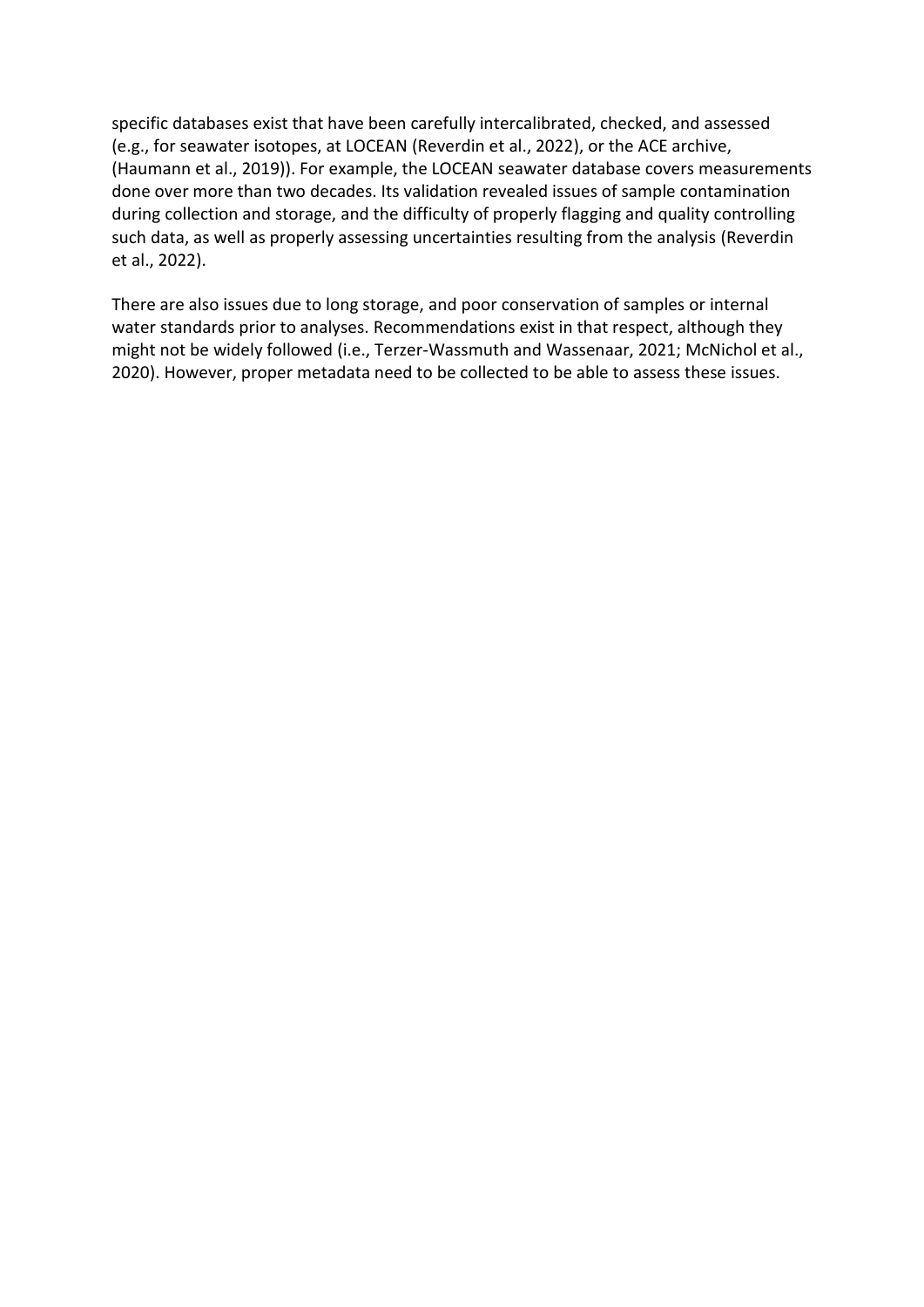specific databases exist that have been carefully intercalibrated, checked, and assessed (e.g., for seawater isotopes, at LOCEAN (Reverdin et al., 2022), or the ACE archive, (Haumann et al., 2019)). For example, the LOCEAN seawater database covers measurements done over more than two decades. Its validation revealed issues of sample contamination during collection and storage, and the difficulty of properly flagging and quality controlling such data, as well as properly assessing uncertainties resulting from the analysis (Reverdin et al., 2022).

There are also issues due to long storage, and poor conservation of samples or internal water standards prior to analyses. Recommendations exist in that respect, although they might not be widely followed (i.e., Terzer-Wassmuth and Wassenaar, 2021; McNichol et al., 2020). However, proper metadata need to be collected to be able to assess these issues.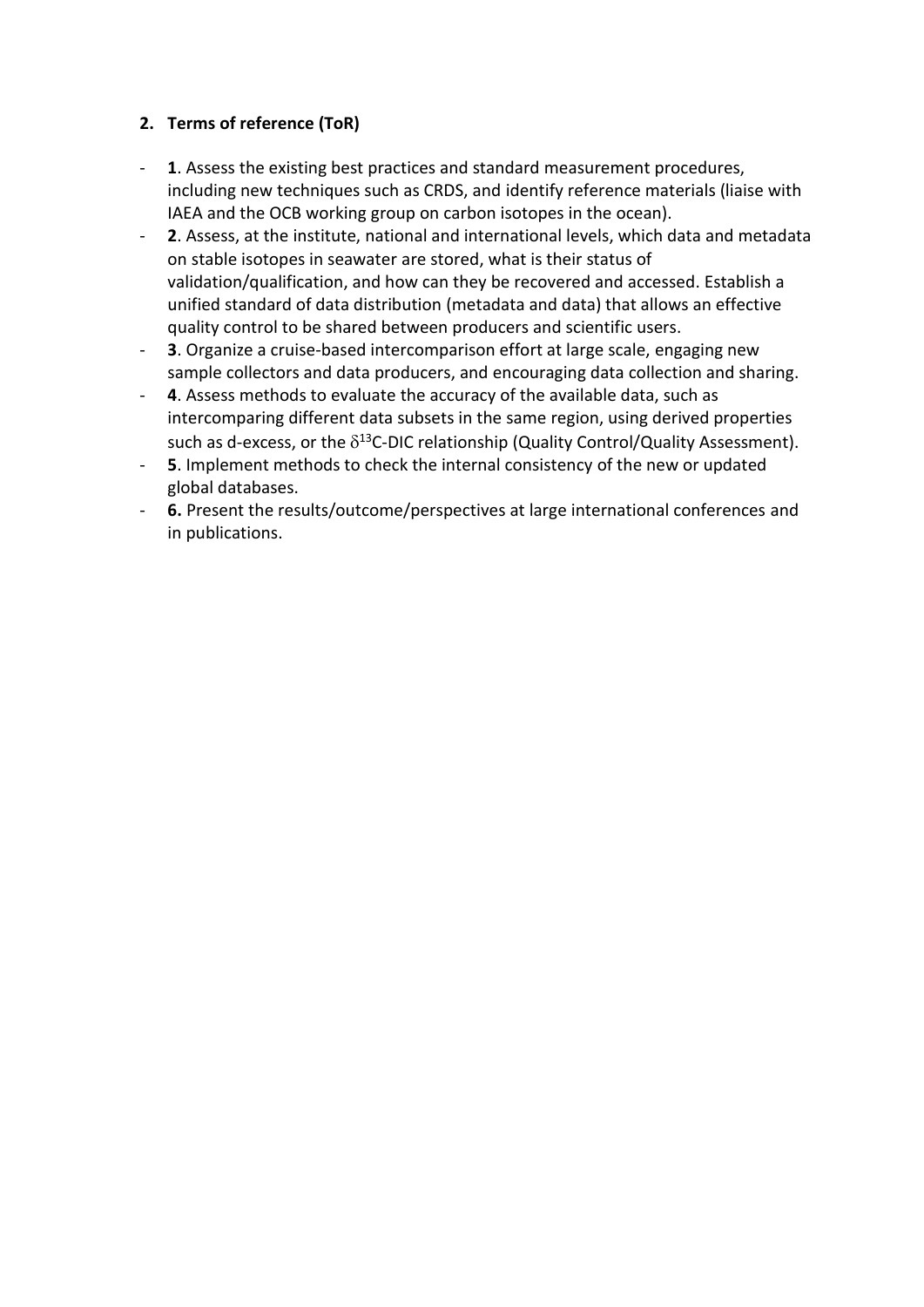# **2. Terms of reference (ToR)**

- **1**. Assess the existing best practices and standard measurement procedures, including new techniques such as CRDS, and identify reference materials (liaise with IAEA and the OCB working group on carbon isotopes in the ocean).
- **2**. Assess, at the institute, national and international levels, which data and metadata on stable isotopes in seawater are stored, what is their status of validation/qualification, and how can they be recovered and accessed. Establish a unified standard of data distribution (metadata and data) that allows an effective quality control to be shared between producers and scientific users.
- **3**. Organize a cruise-based intercomparison effort at large scale, engaging new sample collectors and data producers, and encouraging data collection and sharing.
- **4**. Assess methods to evaluate the accuracy of the available data, such as intercomparing different data subsets in the same region, using derived properties such as d-excess, or the  $\delta^{13}$ C-DIC relationship (Quality Control/Quality Assessment).
- **5**. Implement methods to check the internal consistency of the new or updated global databases.
- **6.** Present the results/outcome/perspectives at large international conferences and in publications.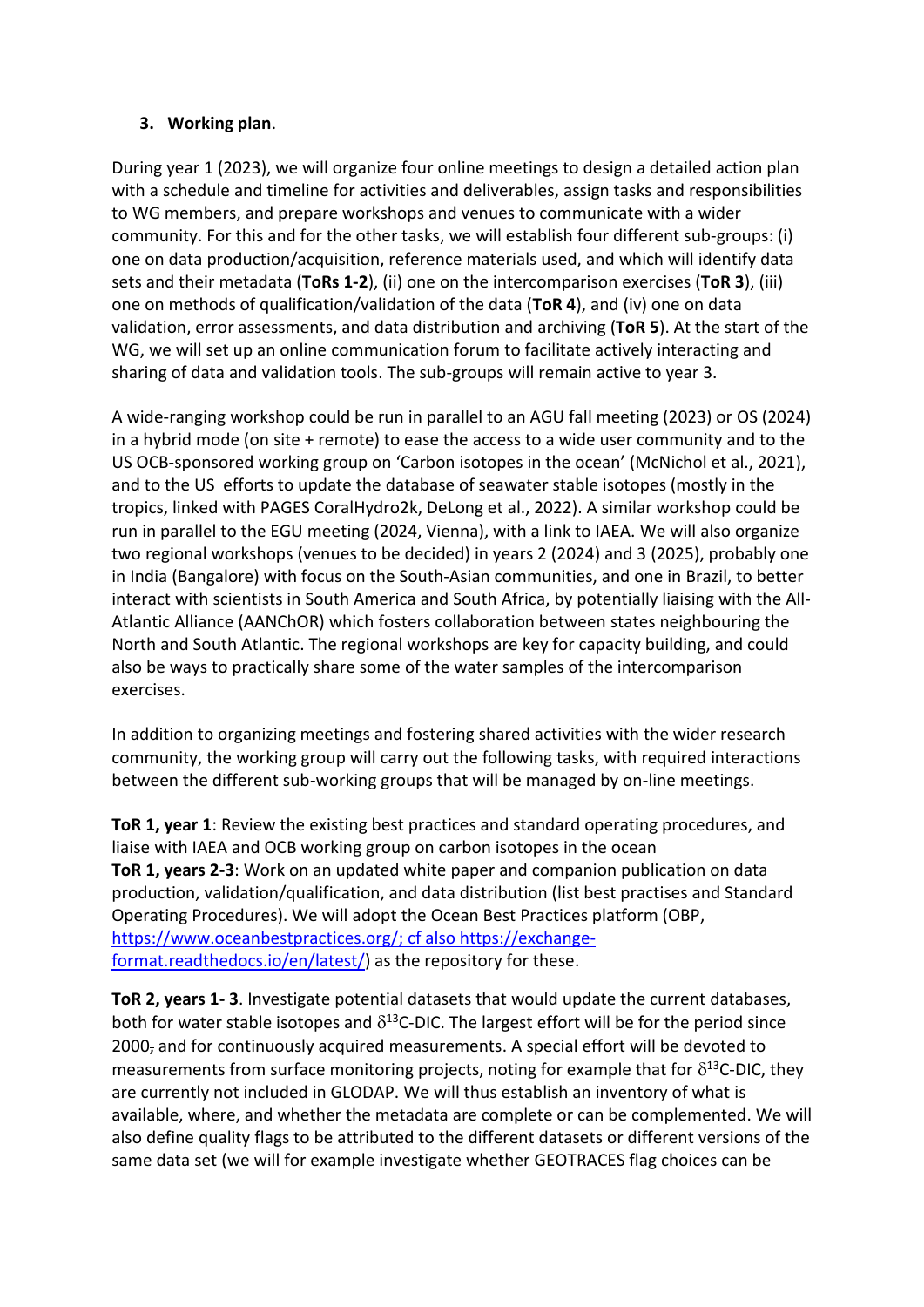## **3. Working plan**.

During year 1 (2023), we will organize four online meetings to design a detailed action plan with a schedule and timeline for activities and deliverables, assign tasks and responsibilities to WG members, and prepare workshops and venues to communicate with a wider community. For this and for the other tasks, we will establish four different sub-groups: (i) one on data production/acquisition, reference materials used, and which will identify data sets and their metadata (**ToRs 1-2**), (ii) one on the intercomparison exercises (**ToR 3**), (iii) one on methods of qualification/validation of the data (**ToR 4**), and (iv) one on data validation, error assessments, and data distribution and archiving (**ToR 5**). At the start of the WG, we will set up an online communication forum to facilitate actively interacting and sharing of data and validation tools. The sub-groups will remain active to year 3.

A wide-ranging workshop could be run in parallel to an AGU fall meeting (2023) or OS (2024) in a hybrid mode (on site + remote) to ease the access to a wide user community and to the US OCB-sponsored working group on 'Carbon isotopes in the ocean' (McNichol et al., 2021), and to the US efforts to update the database of seawater stable isotopes (mostly in the tropics, linked with PAGES CoralHydro2k, DeLong et al., 2022). A similar workshop could be run in parallel to the EGU meeting (2024, Vienna), with a link to IAEA. We will also organize two regional workshops (venues to be decided) in years 2 (2024) and 3 (2025), probably one in India (Bangalore) with focus on the South-Asian communities, and one in Brazil, to better interact with scientists in South America and South Africa, by potentially liaising with the All-Atlantic Alliance (AANChOR) which fosters collaboration between states neighbouring the North and South Atlantic. The regional workshops are key for capacity building, and could also be ways to practically share some of the water samples of the intercomparison exercises.

In addition to organizing meetings and fostering shared activities with the wider research community, the working group will carry out the following tasks, with required interactions between the different sub-working groups that will be managed by on-line meetings.

**ToR 1, year 1**: Review the existing best practices and standard operating procedures, and liaise with IAEA and OCB working group on carbon isotopes in the ocean **ToR 1, years 2-3**: Work on an updated white paper and companion publication on data production, validation/qualification, and data distribution (list best practises and Standard Operating Procedures). We will adopt the Ocean Best Practices platform (OBP, [https://www.oceanbestpractices.org/;](https://www.oceanbestpractices.org/) cf also [https://exchange](https://exchange-format.readthedocs.io/en/latest/)[format.readthedocs.io/en/latest/\)](https://exchange-format.readthedocs.io/en/latest/) as the repository for these.

**ToR 2, years 1- 3**. Investigate potential datasets that would update the current databases, both for water stable isotopes and  $\delta^{13}$ C-DIC. The largest effort will be for the period since 2000<sub>7</sub> and for continuously acquired measurements. A special effort will be devoted to measurements from surface monitoring projects, noting for example that for  $\delta^{13}$ C-DIC, they are currently not included in GLODAP. We will thus establish an inventory of what is available, where, and whether the metadata are complete or can be complemented. We will also define quality flags to be attributed to the different datasets or different versions of the same data set (we will for example investigate whether GEOTRACES flag choices can be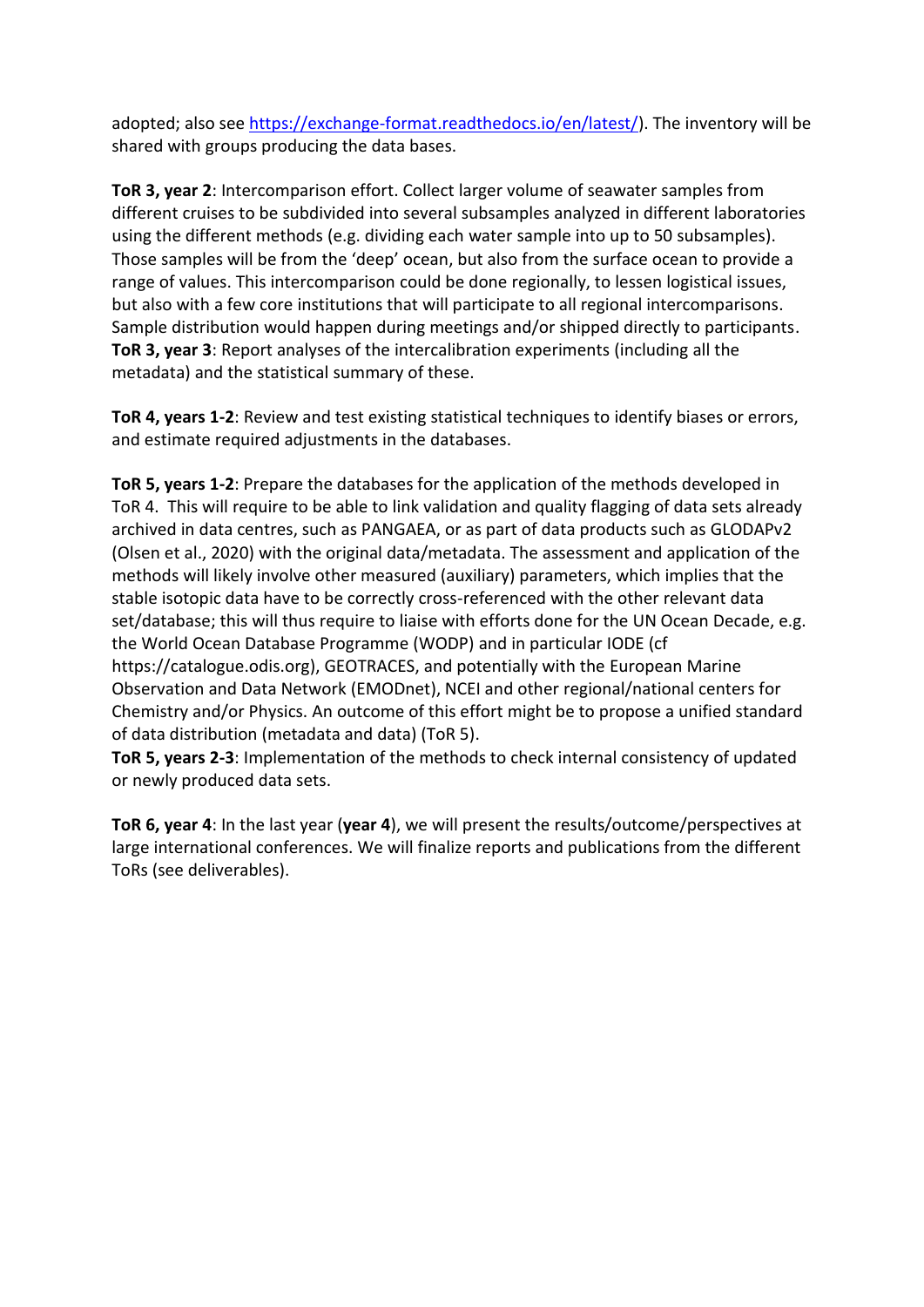adopted; also see [https://exchange-format.readthedocs.io/en/latest/\)](https://exchange-format.readthedocs.io/en/latest/). The inventory will be shared with groups producing the data bases.

**ToR 3, year 2**: Intercomparison effort. Collect larger volume of seawater samples from different cruises to be subdivided into several subsamples analyzed in different laboratories using the different methods (e.g. dividing each water sample into up to 50 subsamples). Those samples will be from the 'deep' ocean, but also from the surface ocean to provide a range of values. This intercomparison could be done regionally, to lessen logistical issues, but also with a few core institutions that will participate to all regional intercomparisons. Sample distribution would happen during meetings and/or shipped directly to participants. **ToR 3, year 3**: Report analyses of the intercalibration experiments (including all the metadata) and the statistical summary of these.

**ToR 4, years 1-2**: Review and test existing statistical techniques to identify biases or errors, and estimate required adjustments in the databases.

**ToR 5, years 1-2**: Prepare the databases for the application of the methods developed in ToR 4. This will require to be able to link validation and quality flagging of data sets already archived in data centres, such as PANGAEA, or as part of data products such as GLODAPv2 (Olsen et al., 2020) with the original data/metadata. The assessment and application of the methods will likely involve other measured (auxiliary) parameters, which implies that the stable isotopic data have to be correctly cross-referenced with the other relevant data set/database; this will thus require to liaise with efforts done for the UN Ocean Decade, e.g. the World Ocean Database Programme (WODP) and in particular IODE (cf [https://catalogue.odis.org\)](https://catalogue.odis.org/), GEOTRACES, and potentially with the European Marine Observation and Data Network (EMODnet), NCEI and other regional/national centers for Chemistry and/or Physics. An outcome of this effort might be to propose a unified standard of data distribution (metadata and data) (ToR 5).

**ToR 5, years 2-3**: Implementation of the methods to check internal consistency of updated or newly produced data sets.

**ToR 6, year 4**: In the last year (**year 4**), we will present the results/outcome/perspectives at large international conferences. We will finalize reports and publications from the different ToRs (see deliverables).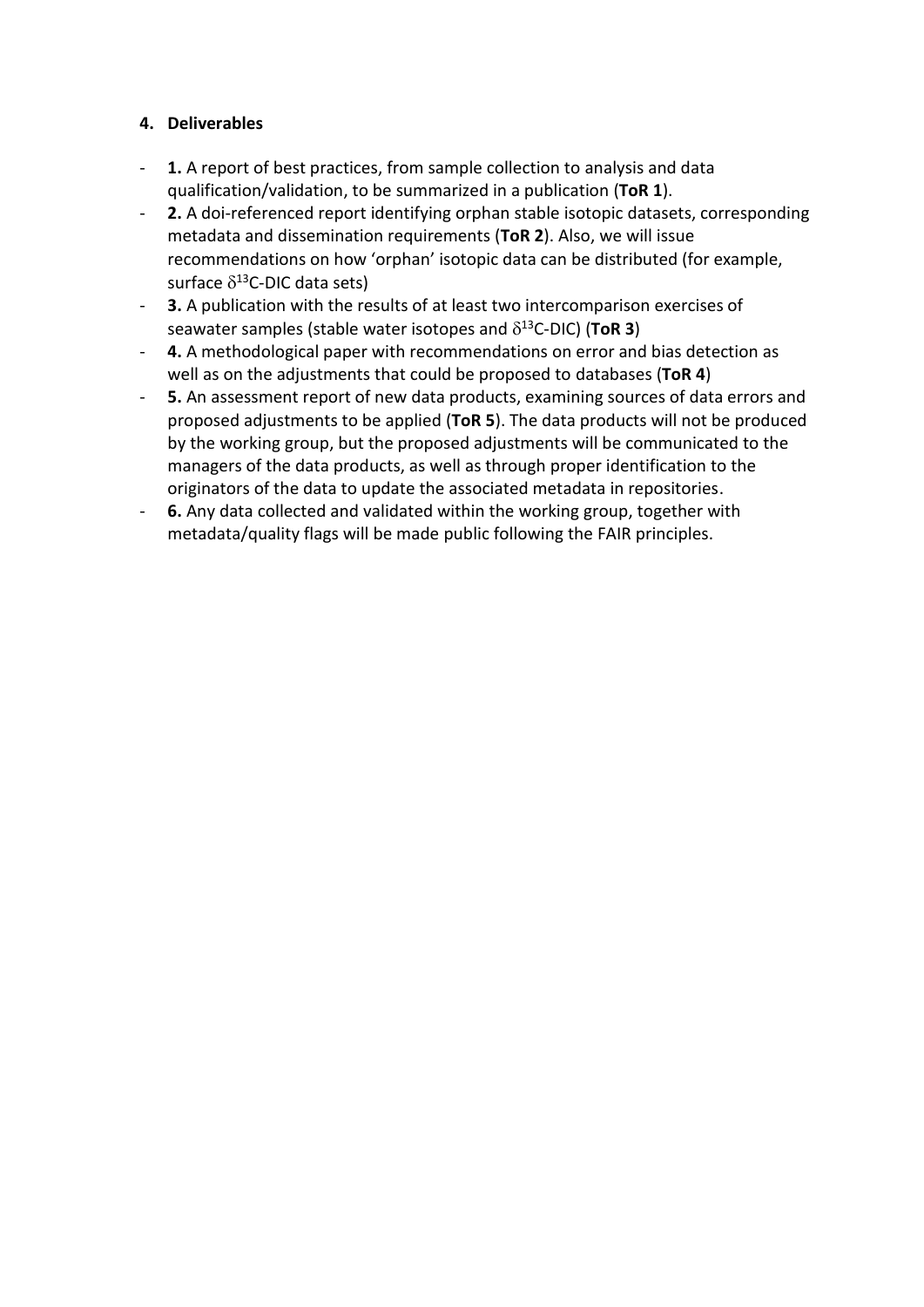### **4. Deliverables**

- **1.** A report of best practices, from sample collection to analysis and data qualification/validation, to be summarized in a publication (**ToR 1**).
- **2.** A doi-referenced report identifying orphan stable isotopic datasets, corresponding metadata and dissemination requirements (**ToR 2**). Also, we will issue recommendations on how 'orphan' isotopic data can be distributed (for example, surface  $\delta^{13}$ C-DIC data sets)
- **3.** A publication with the results of at least two intercomparison exercises of seawater samples (stable water isotopes and  $\delta^{13}$ C-DIC) (ToR 3)
- **4.** A methodological paper with recommendations on error and bias detection as well as on the adjustments that could be proposed to databases (**ToR 4**)
- **5.** An assessment report of new data products, examining sources of data errors and proposed adjustments to be applied (**ToR 5**). The data products will not be produced by the working group, but the proposed adjustments will be communicated to the managers of the data products, as well as through proper identification to the originators of the data to update the associated metadata in repositories.
- **6.** Any data collected and validated within the working group, together with metadata/quality flags will be made public following the FAIR principles.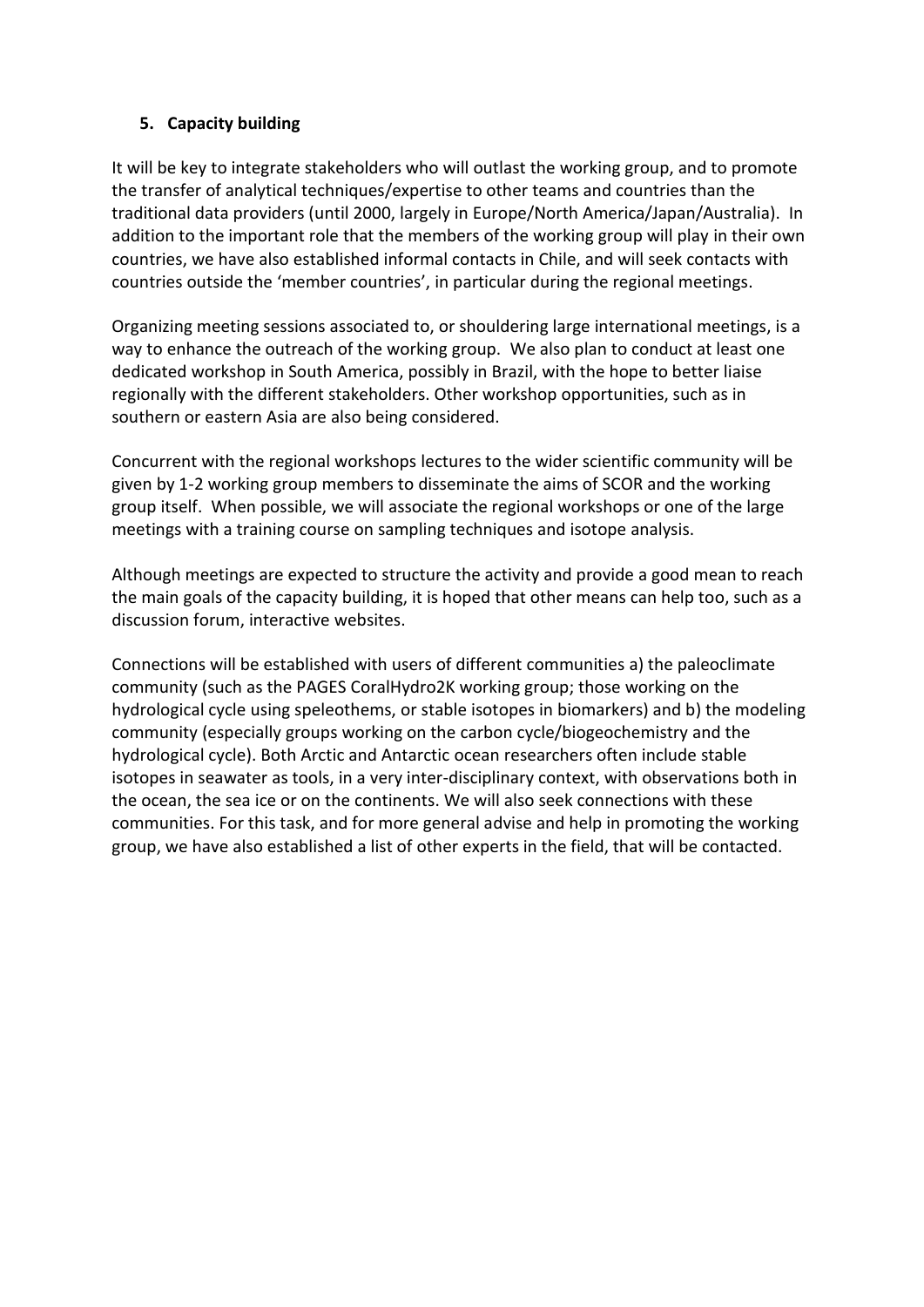## **5. Capacity building**

It will be key to integrate stakeholders who will outlast the working group, and to promote the transfer of analytical techniques/expertise to other teams and countries than the traditional data providers (until 2000, largely in Europe/North America/Japan/Australia). In addition to the important role that the members of the working group will play in their own countries, we have also established informal contacts in Chile, and will seek contacts with countries outside the 'member countries', in particular during the regional meetings.

Organizing meeting sessions associated to, or shouldering large international meetings, is a way to enhance the outreach of the working group. We also plan to conduct at least one dedicated workshop in South America, possibly in Brazil, with the hope to better liaise regionally with the different stakeholders. Other workshop opportunities, such as in southern or eastern Asia are also being considered.

Concurrent with the regional workshops lectures to the wider scientific community will be given by 1-2 working group members to disseminate the aims of SCOR and the working group itself. When possible, we will associate the regional workshops or one of the large meetings with a training course on sampling techniques and isotope analysis.

Although meetings are expected to structure the activity and provide a good mean to reach the main goals of the capacity building, it is hoped that other means can help too, such as a discussion forum, interactive websites.

Connections will be established with users of different communities a) the paleoclimate community (such as the PAGES CoralHydro2K working group; those working on the hydrological cycle using speleothems, or stable isotopes in biomarkers) and b) the modeling community (especially groups working on the carbon cycle/biogeochemistry and the hydrological cycle). Both Arctic and Antarctic ocean researchers often include stable isotopes in seawater as tools, in a very inter-disciplinary context, with observations both in the ocean, the sea ice or on the continents. We will also seek connections with these communities. For this task, and for more general advise and help in promoting the working group, we have also established a list of other experts in the field, that will be contacted.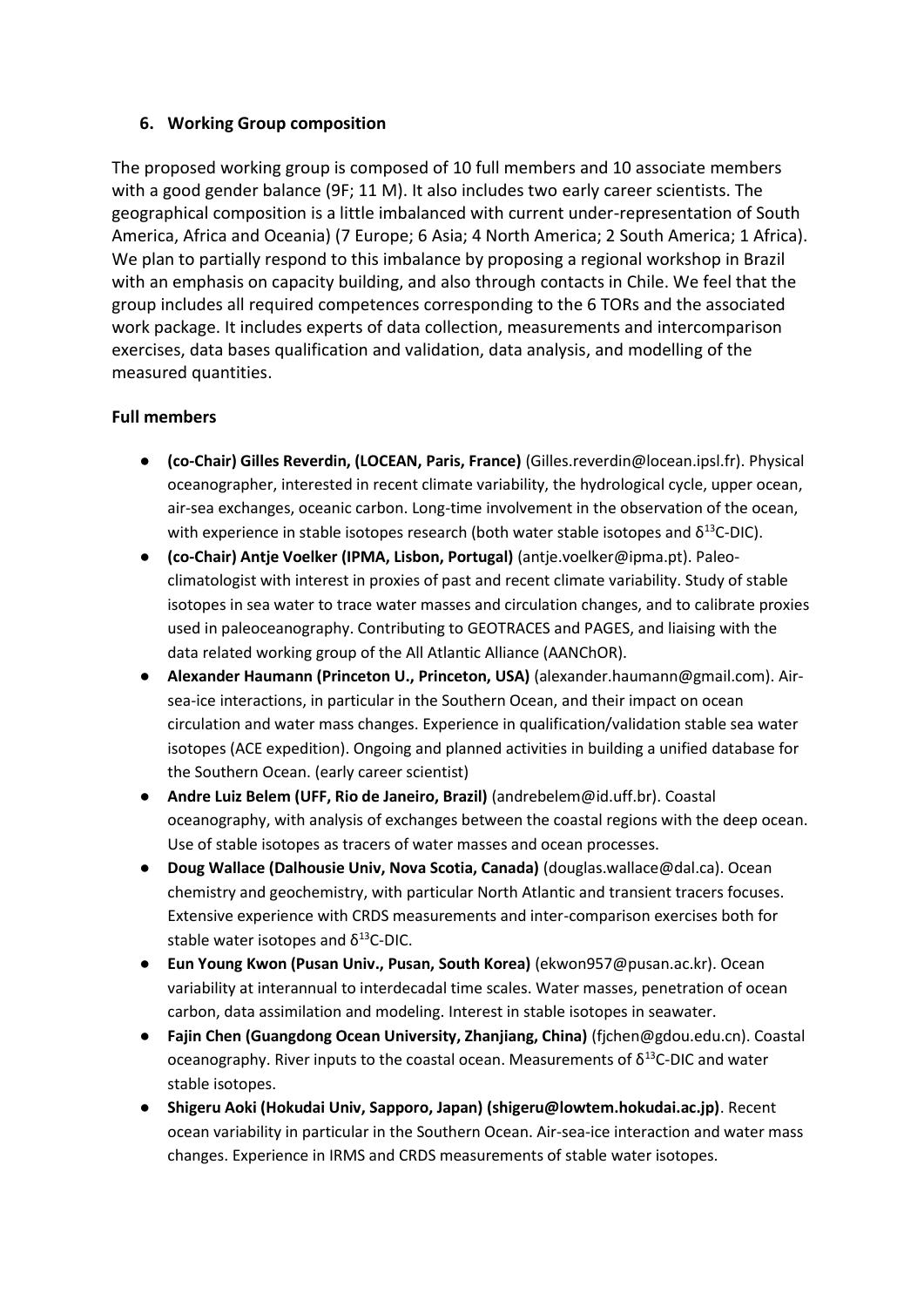### **6. Working Group composition**

The proposed working group is composed of 10 full members and 10 associate members with a good gender balance (9F; 11 M). It also includes two early career scientists. The geographical composition is a little imbalanced with current under-representation of South America, Africa and Oceania) (7 Europe; 6 Asia; 4 North America; 2 South America; 1 Africa). We plan to partially respond to this imbalance by proposing a regional workshop in Brazil with an emphasis on capacity building, and also through contacts in Chile. We feel that the group includes all required competences corresponding to the 6 TORs and the associated work package. It includes experts of data collection, measurements and intercomparison exercises, data bases qualification and validation, data analysis, and modelling of the measured quantities.

### **Full members**

- **(co-Chair) Gilles Reverdin, (LOCEAN, Paris, France)** (Gilles.reverdin@locean.ipsl.fr). Physical oceanographer, interested in recent climate variability, the hydrological cycle, upper ocean, air-sea exchanges, oceanic carbon. Long-time involvement in the observation of the ocean, with experience in stable isotopes research (both water stable isotopes and  $\delta^{13}$ C-DIC).
- **(co-Chair) Antje Voelker (IPMA, Lisbon, Portugal)** (antje.voelker@ipma.pt). Paleoclimatologist with interest in proxies of past and recent climate variability. Study of stable isotopes in sea water to trace water masses and circulation changes, and to calibrate proxies used in paleoceanography. Contributing to GEOTRACES and PAGES, and liaising with the data related working group of the All Atlantic Alliance (AANChOR).
- **Alexander Haumann (Princeton U., Princeton, USA)** (alexander.haumann@gmail.com). Airsea-ice interactions, in particular in the Southern Ocean, and their impact on ocean circulation and water mass changes. Experience in qualification/validation stable sea water isotopes (ACE expedition). Ongoing and planned activities in building a unified database for the Southern Ocean. (early career scientist)
- **Andre Luiz Belem (UFF, Rio de Janeiro, Brazil)** (andrebelem@id.uff.br). Coastal oceanography, with analysis of exchanges between the coastal regions with the deep ocean. Use of stable isotopes as tracers of water masses and ocean processes.
- **Doug Wallace (Dalhousie Univ, Nova Scotia, Canada)** (douglas.wallace@dal.ca). Ocean chemistry and geochemistry, with particular North Atlantic and transient tracers focuses. Extensive experience with CRDS measurements and inter-comparison exercises both for stable water isotopes and  $\delta^{13}$ C-DIC.
- **Eun Young Kwon (Pusan Univ., Pusan, South Korea)** (ekwon957@pusan.ac.kr). Ocean variability at interannual to interdecadal time scales. Water masses, penetration of ocean carbon, data assimilation and modeling. Interest in stable isotopes in seawater.
- **Fajin Chen (Guangdong Ocean University, Zhanjiang, China)** (fjchen@gdou.edu.cn). Coastal oceanography. River inputs to the coastal ocean. Measurements of  $δ<sup>13</sup>C-DIC$  and water stable isotopes.
- **Shigeru Aoki (Hokudai Univ, Sapporo, Japan) (shigeru@lowtem.hokudai.ac.jp)**. Recent ocean variability in particular in the Southern Ocean. Air-sea-ice interaction and water mass changes. Experience in IRMS and CRDS measurements of stable water isotopes.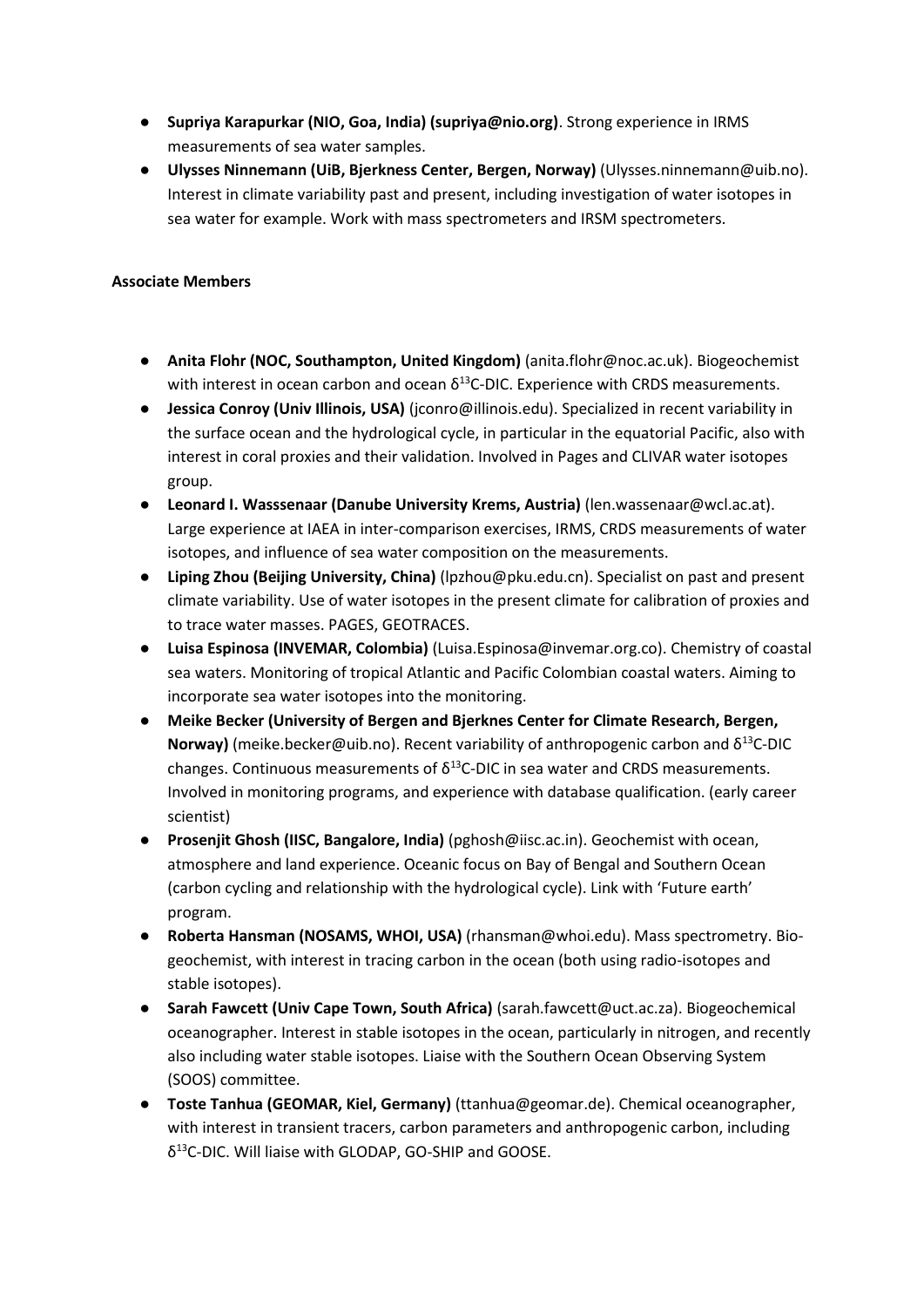- **Supriya Karapurkar (NIO, Goa, India) (supriya@nio.org)**. Strong experience in IRMS measurements of sea water samples.
- **Ulysses Ninnemann (UiB, Bjerkness Center, Bergen, Norway)** (Ulysses.ninnemann@uib.no). Interest in climate variability past and present, including investigation of water isotopes in sea water for example. Work with mass spectrometers and IRSM spectrometers.

#### **Associate Members**

- **Anita Flohr (NOC, Southampton, United Kingdom)** (anita.flohr@noc.ac.uk). Biogeochemist with interest in ocean carbon and ocean  $\delta^{13}$ C-DIC. Experience with CRDS measurements.
- **Jessica Conroy (Univ Illinois, USA)** (jconro@illinois.edu). Specialized in recent variability in the surface ocean and the hydrological cycle, in particular in the equatorial Pacific, also with interest in coral proxies and their validation. Involved in Pages and CLIVAR water isotopes group.
- **Leonard I. Wasssenaar (Danube University Krems, Austria)** (len.wassenaar@wcl.ac.at). Large experience at IAEA in inter-comparison exercises, IRMS, CRDS measurements of water isotopes, and influence of sea water composition on the measurements.
- **Liping Zhou (Beijing University, China)** (lpzhou@pku.edu.cn). Specialist on past and present climate variability. Use of water isotopes in the present climate for calibration of proxies and to trace water masses. PAGES, GEOTRACES.
- **Luisa Espinosa (INVEMAR, Colombia)** (Luisa.Espinosa@invemar.org.co). Chemistry of coastal sea waters. Monitoring of tropical Atlantic and Pacific Colombian coastal waters. Aiming to incorporate sea water isotopes into the monitoring.
- **Meike Becker (University of Bergen and Bjerknes Center for Climate Research, Bergen, Norway)** (meike.becker@uib.no). Recent variability of anthropogenic carbon and  $\delta^{13}$ C-DIC changes. Continuous measurements of  $\delta^{13}$ C-DIC in sea water and CRDS measurements. Involved in monitoring programs, and experience with database qualification. (early career scientist)
- **Prosenjit Ghosh (IISC, Bangalore, India)** (pghosh@iisc.ac.in). Geochemist with ocean, atmosphere and land experience. Oceanic focus on Bay of Bengal and Southern Ocean (carbon cycling and relationship with the hydrological cycle). Link with 'Future earth' program.
- **Roberta Hansman (NOSAMS, WHOI, USA)** (rhansman@whoi.edu). Mass spectrometry. Biogeochemist, with interest in tracing carbon in the ocean (both using radio-isotopes and stable isotopes).
- **Sarah Fawcett (Univ Cape Town, South Africa)** (sarah.fawcett@uct.ac.za). Biogeochemical oceanographer. Interest in stable isotopes in the ocean, particularly in nitrogen, and recently also including water stable isotopes. Liaise with the Southern Ocean Observing System (SOOS) committee.
- **Toste Tanhua (GEOMAR, Kiel, Germany)** (ttanhua@geomar.de). Chemical oceanographer, with interest in transient tracers, carbon parameters and anthropogenic carbon, including δ 13C-DIC. Will liaise with GLODAP, GO-SHIP and GOOSE.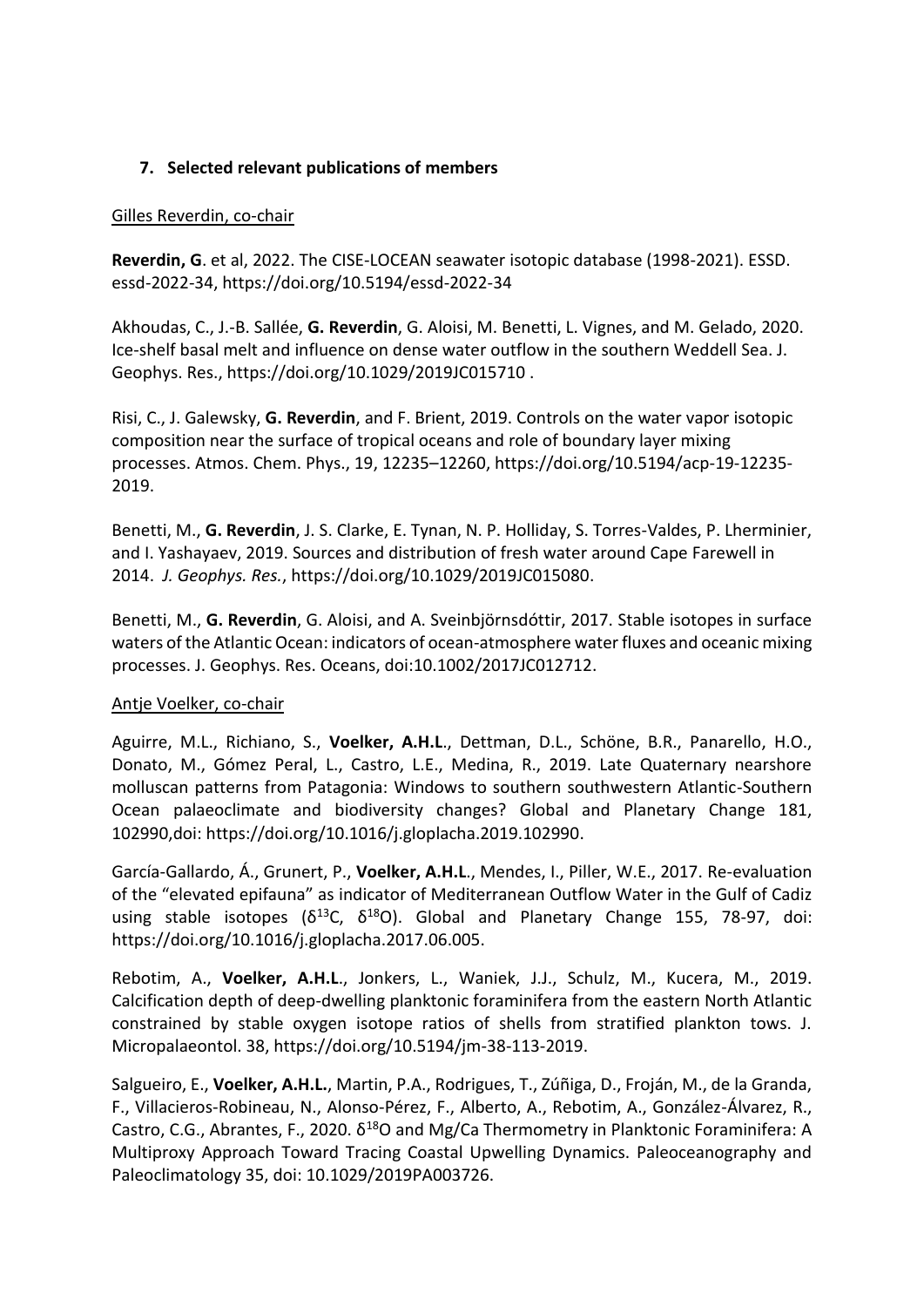## **7. Selected relevant publications of members**

### Gilles Reverdin, co-chair

**Reverdin, G**. et al, 2022. The CISE-LOCEAN seawater isotopic database (1998-2021). ESSD. essd-2022-34,<https://doi.org/10.5194/essd-2022-34>

Akhoudas, C., J.-B. Sallée, **G. Reverdin**, G. Aloisi, M. Benetti, L. Vignes, and M. Gelado, 2020. Ice-shelf basal melt and influence on dense water outflow in the southern Weddell Sea. J. Geophys. Res., https://doi.org/10.1029/2019JC015710 .

Risi, C., J. Galewsky, **G. Reverdin**, and F. Brient, 2019. Controls on the water vapor isotopic composition near the surface of tropical oceans and role of boundary layer mixing processes. Atmos. Chem. Phys., 19, 12235–12260[, https://doi.org/10.5194/acp-19-12235-](https://doi.org/10.5194/acp-19-12235-2019) [2019.](https://doi.org/10.5194/acp-19-12235-2019)

Benetti, M., **G. Reverdin**, J. S. Clarke, E. Tynan, N. P. Holliday, S. Torres-Valdes, P. Lherminier, and I. Yashayaev, 2019. Sources and distribution of fresh water around Cape Farewell in 2014. *J. Geophys. Res.*, [https://doi.org/10.1029/2019JC015080.](https://doi.org/10.1029/2019JC015080)

Benetti, M., **G. Reverdin**, G. Aloisi, and A. Sveinbjörnsdóttir, 2017. Stable isotopes in surface waters of the Atlantic Ocean: indicators of ocean-atmosphere water fluxes and oceanic mixing processes. J. Geophys. Res. Oceans, doi:10.1002/2017JC012712.

## Antje Voelker, co-chair

Aguirre, M.L., Richiano, S., **Voelker, A.H.L**., Dettman, D.L., Schöne, B.R., Panarello, H.O., Donato, M., Gómez Peral, L., Castro, L.E., Medina, R., 2019. Late Quaternary nearshore molluscan patterns from Patagonia: Windows to southern southwestern Atlantic-Southern Ocean palaeoclimate and biodiversity changes? Global and Planetary Change 181, 102990,doi: [https://doi.org/10.1016/j.gloplacha.2019.102990.](https://doi.org/10.1016/j.gloplacha.2019.102990)

García-Gallardo, Á., Grunert, P., **Voelker, A.H.L**., Mendes, I., Piller, W.E., 2017. Re-evaluation of the "elevated epifauna" as indicator of Mediterranean Outflow Water in the Gulf of Cadiz using stable isotopes ( $\delta^{13}C$ ,  $\delta^{18}O$ ). Global and Planetary Change 155, 78-97, doi: https://doi.org/10.1016/j.gloplacha.2017.06.005.

Rebotim, A., **Voelker, A.H.L**., Jonkers, L., Waniek, J.J., Schulz, M., Kucera, M., 2019. Calcification depth of deep-dwelling planktonic foraminifera from the eastern North Atlantic constrained by stable oxygen isotope ratios of shells from stratified plankton tows. J. Micropalaeontol. 38, https://doi.org/10.5194/jm-38-113-2019.

Salgueiro, E., **Voelker, A.H.L.**, Martin, P.A., Rodrigues, T., Zúñiga, D., Froján, M., de la Granda, F., Villacieros-Robineau, N., Alonso-Pérez, F., Alberto, A., Rebotim, A., González-Álvarez, R., Castro, C.G., Abrantes, F., 2020. δ<sup>18</sup>O and Mg/Ca Thermometry in Planktonic Foraminifera: A Multiproxy Approach Toward Tracing Coastal Upwelling Dynamics. Paleoceanography and Paleoclimatology 35, doi: 10.1029/2019PA003726.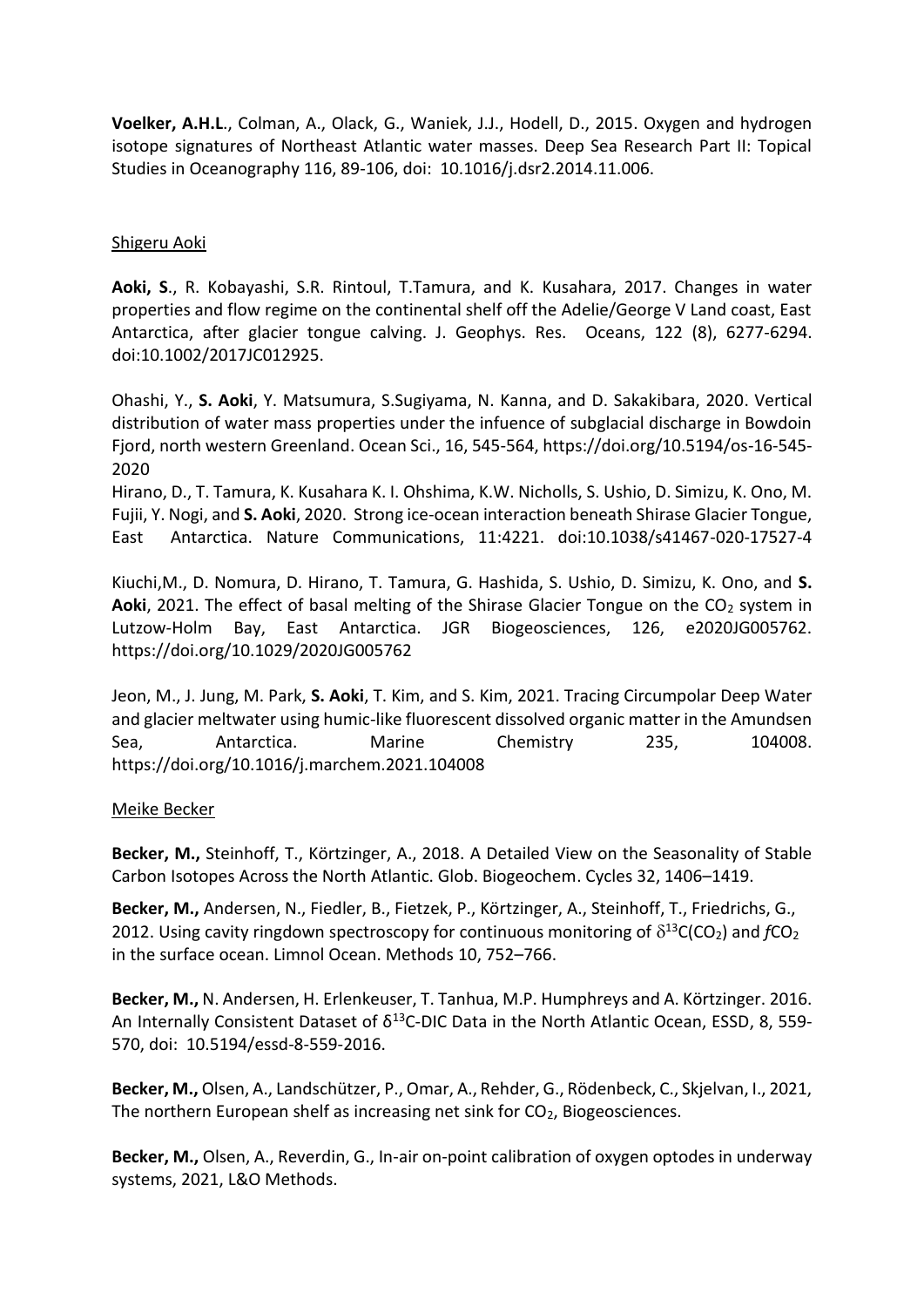**Voelker, A.H.L**., Colman, A., Olack, G., Waniek, J.J., Hodell, D., 2015. Oxygen and hydrogen isotope signatures of Northeast Atlantic water masses. Deep Sea Research Part II: Topical Studies in Oceanography 116, 89-106, doi: 10.1016/j.dsr2.2014.11.006.

#### Shigeru Aoki

**Aoki, S**., R. Kobayashi, S.R. Rintoul, T.Tamura, and K. Kusahara, 2017. Changes in water properties and flow regime on the continental shelf off the Adelie/George V Land coast, East Antarctica, after glacier tongue calving. J. Geophys. Res. Oceans, [122 \(8\), 6277-6294.](callto:122%20(8),%206277-6294) doi:10.1002/2017JC012925.

Ohashi, Y., **S. Aoki**, Y. Matsumura, S.Sugiyama, N. Kanna, and D. Sakakibara, 2020. Vertical distribution of water mass properties under the infuence of subglacial discharge in Bowdoin Fjord, north western Greenland. Ocean Sci., 16, 545-564[, https://doi.org/10.5194/os-16-545-](https://doi.org/10.5194/os-16-545-2020) [2020](https://doi.org/10.5194/os-16-545-2020)

Hirano, D., T. Tamura, K. Kusahara K. I. Ohshima, K.W. Nicholls, S. Ushio, D. Simizu, K. Ono, M. Fujii, Y. Nogi, and **S. Aoki**, 2020. Strong ice-ocean interaction beneath Shirase Glacier Tongue, East Antarctica. Nature Communications, 11:4221. doi:10.1038/s41467-020-17527-4

Kiuchi,M., D. Nomura, D. Hirano, T. Tamura, G. Hashida, S. Ushio, D. Simizu, K. Ono, and **S. Aoki**, 2021. The effect of basal melting of the Shirase Glacier Tongue on the CO<sub>2</sub> system in Lutzow-Holm Bay, East Antarctica. JGR Biogeosciences, 126, e2020JG005762. <https://doi.org/10.1029/2020JG005762>

Jeon, M., J. Jung, M. Park, **S. Aoki**, T. Kim, and S. Kim, 2021. Tracing Circumpolar Deep Water and glacier meltwater using humic-like fluorescent dissolved organic matter in the Amundsen Sea, Antarctica. Marine Chemistry 235, 104008. <https://doi.org/10.1016/j.marchem.2021.104008>

#### Meike Becker

**Becker, M.,** Steinhoff, T., Körtzinger, A., 2018. A Detailed View on the Seasonality of Stable Carbon Isotopes Across the North Atlantic. Glob. Biogeochem. Cycles 32, 1406–1419.

**Becker, M.,** Andersen, N., Fiedler, B., Fietzek, P., Körtzinger, A., Steinhoff, T., Friedrichs, G., 2012. Using cavity ringdown spectroscopy for continuous monitoring of  $\delta^{13}C(CO_2)$  and  $fCO_2$ in the surface ocean. Limnol Ocean. Methods 10, 752–766.

**Becker, M.,** N. Andersen, H. Erlenkeuser, T. Tanhua, M.P. Humphreys and A. Körtzinger. 2016. An Internally Consistent Dataset of  $\delta^{13}$ C-DIC Data in the North Atlantic Ocean, ESSD, 8, 559-570, doi: 10.5194/essd-8-559-2016.

**Becker, M.,** Olsen, A., Landschützer, P., Omar, A., Rehder, G., Rödenbeck, C., Skjelvan, I., 2021, The northern European shelf as increasing net sink for CO<sub>2</sub>, Biogeosciences.

**Becker, M.,** Olsen, A., Reverdin, G., In-air on-point calibration of oxygen optodes in underway systems, 2021, L&O Methods.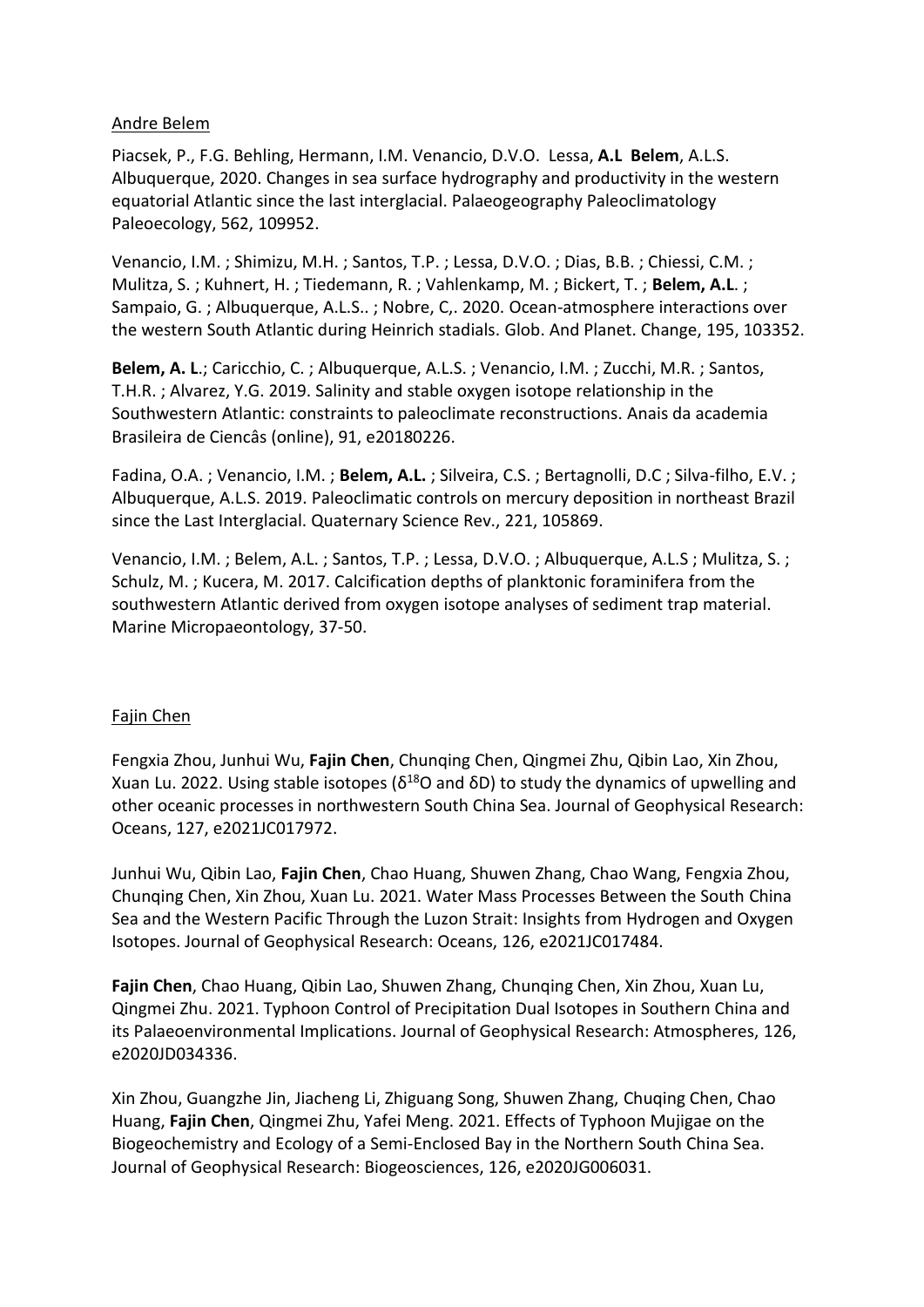### Andre Belem

Piacsek, P., F.G. Behling, Hermann, I.M. Venancio, D.V.O. Lessa, **A.L Belem**, A.L.S. Albuquerque, 2020. Changes in sea surface hydrography and productivity in the western equatorial Atlantic since the last interglacial. Palaeogeography Paleoclimatology Paleoecology, 562, 109952.

Venancio, I.M. ; Shimizu, M.H. ; Santos, T.P. ; Lessa, D.V.O. ; Dias, B.B. ; Chiessi, C.M. ; Mulitza, S. ; Kuhnert, H. ; Tiedemann, R. ; Vahlenkamp, M. ; Bickert, T. ; **Belem, A.L**. ; Sampaio, G. ; Albuquerque, A.L.S.. ; Nobre, C,. 2020. Ocean-atmosphere interactions over the western South Atlantic during Heinrich stadials. Glob. And Planet. Change, 195, 103352.

**Belem, A. L**.; Caricchio, C. ; Albuquerque, A.L.S. ; Venancio, I.M. ; Zucchi, M.R. ; Santos, T.H.R. ; Alvarez, Y.G. 2019. Salinity and stable oxygen isotope relationship in the Southwestern Atlantic: constraints to paleoclimate reconstructions. Anais da academia Brasileira de Ciencâs (online), 91, e20180226.

Fadina, O.A. ; Venancio, I.M. ; **Belem, A.L.** ; Silveira, C.S. ; Bertagnolli, D.C ; Silva-filho, E.V. ; Albuquerque, A.L.S. 2019. Paleoclimatic controls on mercury deposition in northeast Brazil since the Last Interglacial. Quaternary Science Rev., 221, 105869.

Venancio, I.M. ; Belem, A.L. ; Santos, T.P. ; Lessa, D.V.O. ; Albuquerque, A.L.S ; Mulitza, S. ; Schulz, M. ; Kucera, M. 2017. Calcification depths of planktonic foraminifera from the southwestern Atlantic derived from oxygen isotope analyses of sediment trap material. Marine Micropaeontology, 37-50.

#### Fajin Chen

Fengxia Zhou, Junhui Wu, **Fajin Chen**, Chunqing Chen, Qingmei Zhu, Qibin Lao, Xin Zhou, Xuan Lu. 2022. Using stable isotopes ( $δ<sup>18</sup>O$  and  $δD$ ) to study the dynamics of upwelling and other oceanic processes in northwestern South China Sea. Journal of Geophysical Research: Oceans, 127, e2021JC017972.

Junhui Wu, Qibin Lao, **Fajin Chen**, Chao Huang, Shuwen Zhang, Chao Wang, Fengxia Zhou, Chunqing Chen, Xin Zhou, Xuan Lu. 2021. Water Mass Processes Between the South China Sea and the Western Pacific Through the Luzon Strait: Insights from Hydrogen and Oxygen Isotopes. Journal of Geophysical Research: Oceans, 126, e2021JC017484.

**Fajin Chen**, Chao Huang, Qibin Lao, Shuwen Zhang, Chunqing Chen, Xin Zhou, Xuan Lu, Qingmei Zhu. 2021. Typhoon Control of Precipitation Dual Isotopes in Southern China and its Palaeoenvironmental Implications. Journal of Geophysical Research: Atmospheres, 126, e2020JD034336.

Xin Zhou, Guangzhe Jin, Jiacheng Li, Zhiguang Song, Shuwen Zhang, Chuqing Chen, Chao Huang, **Fajin Chen**, Qingmei Zhu, Yafei Meng. 2021. Effects of Typhoon Mujigae on the Biogeochemistry and Ecology of a Semi-Enclosed Bay in the Northern South China Sea. Journal of Geophysical Research: Biogeosciences, 126, e2020JG006031.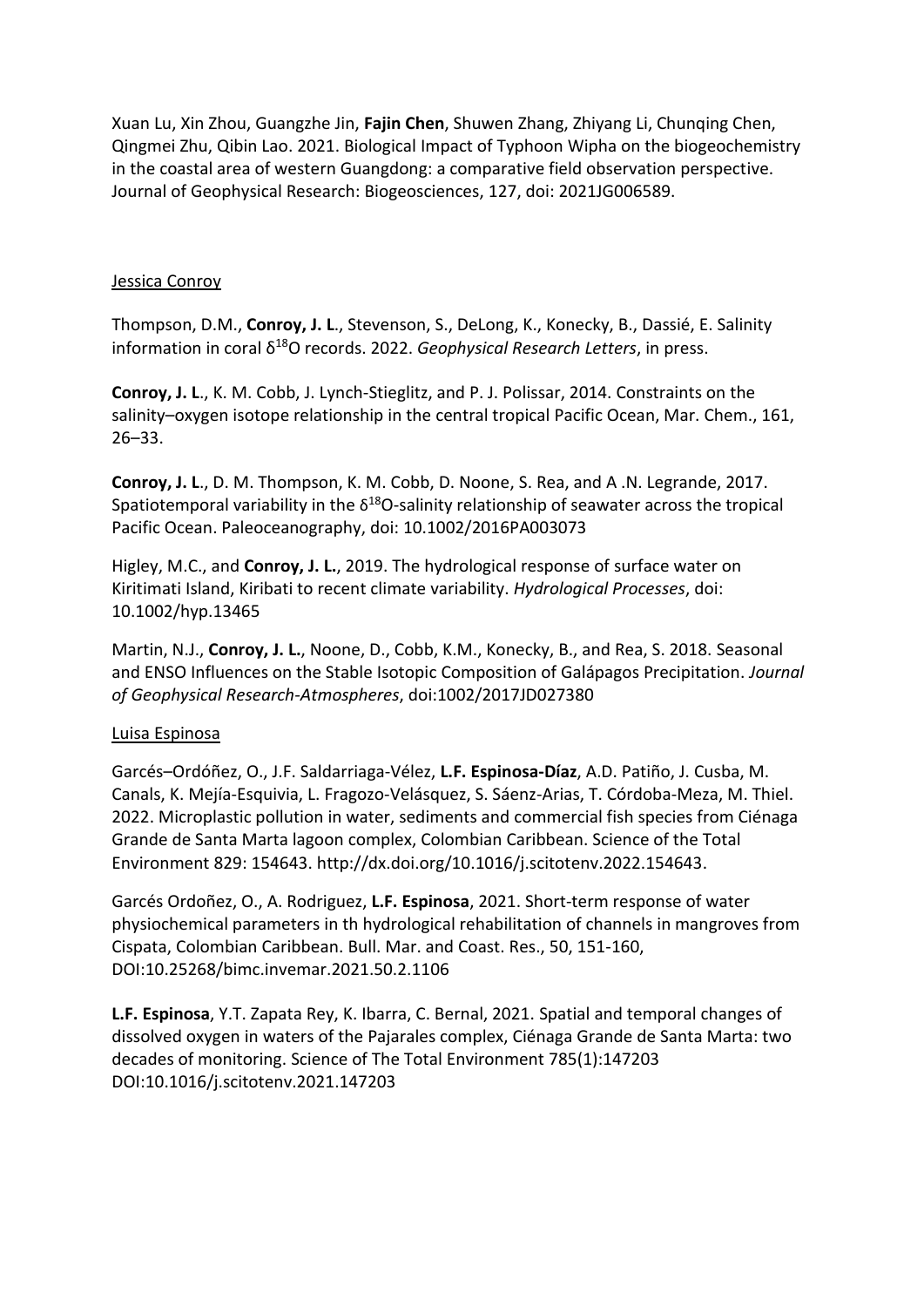Xuan Lu, Xin Zhou, Guangzhe Jin, **Fajin Chen**, Shuwen Zhang, Zhiyang Li, Chunqing Chen, Qingmei Zhu, Qibin Lao. 2021. Biological Impact of Typhoon Wipha on the biogeochemistry in the coastal area of western Guangdong: a comparative field observation perspective. Journal of Geophysical Research: Biogeosciences, 127, doi: 2021JG006589.

#### Jessica Conroy

Thompson, D.M., **Conroy, J. L**., Stevenson, S., DeLong, K., Konecky, B., Dassié, E. Salinity information in coral δ<sup>18</sup>O records. 2022. *Geophysical Research Letters*, in press.

**Conroy, J. L**., K. M. Cobb, J. Lynch-Stieglitz, and P. J. Polissar, 2014. Constraints on the salinity–oxygen isotope relationship in the central tropical Pacific Ocean, Mar. Chem., 161, 26–33.

**Conroy, J. L**., D. M. Thompson, K. M. Cobb, D. Noone, S. Rea, and A .N. Legrande, 2017. Spatiotemporal variability in the  $\delta^{18}O$ -salinity relationship of seawater across the tropical Pacific Ocean. Paleoceanography, doi: 10.1002/2016PA003073

Higley, M.C., and **Conroy, J. L.**, 2019. The hydrological response of surface water on Kiritimati Island, Kiribati to recent climate variability. *Hydrological Processes*, doi: 10.1002/hyp.13465

Martin, N.J., **Conroy, J. L.**, Noone, D., Cobb, K.M., Konecky, B., and Rea, S. 2018. Seasonal and ENSO Influences on the Stable Isotopic Composition of Galápagos Precipitation. *Journal of Geophysical Research-Atmospheres*, doi:1002/2017JD027380

#### Luisa Espinosa

Garcés–Ordóñez, O., J.F. Saldarriaga-Vélez, **L.F. Espinosa-Díaz**, A.D. Patiño, J. Cusba, M. Canals, K. Mejía-Esquivia, L. Fragozo-Velásquez, S. Sáenz-Arias, T. Córdoba-Meza, M. Thiel. 2022. Microplastic pollution in water, sediments and commercial fish species from Ciénaga Grande de Santa Marta lagoon complex, Colombian Caribbean. Science of the Total Environment 829: 154643. [http://dx.doi.org/10.1016/j.scitotenv.2022.154643.](http://dx.doi.org/10.1016/j.scitotenv.2022.154643)

Garcés Ordoñez, O., A. Rodriguez, **L.F. Espinosa**, 2021. Short-term response of water physiochemical parameters in th hydrological rehabilitation of channels in mangroves from Cispata, Colombian Caribbean. Bull. Mar. and Coast. Res., 50, 151-160, DOI[:10.25268/bimc.invemar.2021.50.2.1106](http://dx.doi.org/10.25268/bimc.invemar.2021.50.2.1106)

**L.F. Espinosa**, Y.T. Zapata Rey, K. Ibarra, C. Bernal, 2021. Spatial and temporal changes of dissolved oxygen in waters of the Pajarales complex, Ciénaga Grande de Santa Marta: two decades of monitoring. [Science of The Total Environment](https://www.researchgate.net/journal/Science-of-The-Total-Environment-0048-9697) 785(1):147203 DOI[:10.1016/j.scitotenv.2021.147203](http://dx.doi.org/10.1016/j.scitotenv.2021.147203)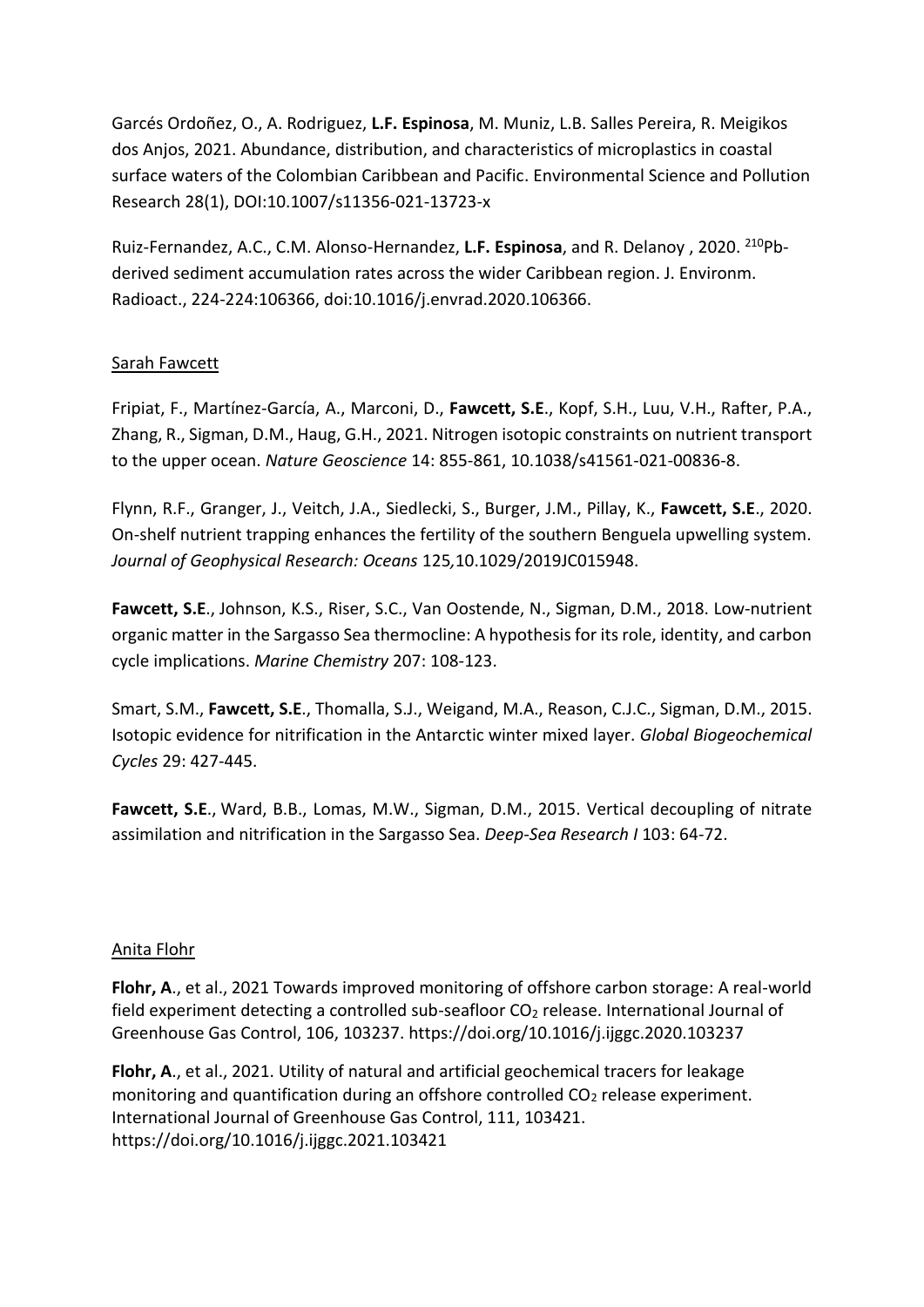Garcés Ordoñez, O., A. Rodriguez, **L.F. Espinosa**, M. Muniz, L.B. Salles Pereira, R. Meigikos dos Anjos, 2021. Abundance, distribution, and characteristics of microplastics in coastal surface waters of the Colombian Caribbean and Pacific[. Environmental Science and Pollution](https://www.researchgate.net/journal/Environmental-Science-and-Pollution-Research-1614-7499)  [Research](https://www.researchgate.net/journal/Environmental-Science-and-Pollution-Research-1614-7499) 28(1), DOI[:10.1007/s11356-021-13723-x](https://link.springer.com/article/10.1007/s11356-021-13723-x)

Ruiz-Fernandez, A.C., C.M. Alonso-Hernandez, **L.F. Espinosa**, and R. Delanoy , 2020. <sup>210</sup>Pbderived sediment accumulation rates across the wider Caribbean region. J. Environm. Radioact., 224-224:106366, doi:10.1016/j.envrad.2020.106366.

## Sarah Fawcett

Fripiat, F., Martínez-García, A., Marconi, D., **Fawcett, S.E**., Kopf, S.H., Luu, V.H., Rafter, P.A., Zhang, R., Sigman, D.M., Haug, G.H., 2021. Nitrogen isotopic constraints on nutrient transport to the upper ocean. *Nature Geoscience* 14: 855-861, 10.1038/s41561-021-00836-8.

Flynn, R.F., Granger, J., Veitch, J.A., Siedlecki, S., Burger, J.M., Pillay, K., **Fawcett, S.E**., 2020. On-shelf nutrient trapping enhances the fertility of the southern Benguela upwelling system. *Journal of Geophysical Research: Oceans* 125*,*10.1029/2019JC015948.

**Fawcett, S.E**., Johnson, K.S., Riser, S.C., Van Oostende, N., Sigman, D.M., 2018. Low-nutrient organic matter in the Sargasso Sea thermocline: A hypothesis for its role, identity, and carbon cycle implications. *Marine Chemistry* 207: [108-123.](callto:108-123%20(2018)

Smart, S.M., **Fawcett, S.E**., Thomalla, S.J., Weigand, M.A., Reason, C.J.C., Sigman, D.M., 2015. Isotopic evidence for nitrification in the Antarctic winter mixed layer. *Global Biogeochemical Cycles* 29: [427-445.](callto:427-445%20(2015)

**Fawcett, S.E**., Ward, B.B., Lomas, M.W., Sigman, D.M., 2015. Vertical decoupling of nitrate assimilation and nitrification in the Sargasso Sea. *Deep-Sea Research I* 103: 64-72.

## Anita Flohr

**Flohr, A**., et al., 2021 [Towards improved monitoring of offshore carbon storage: A real-world](http://nora.nerc.ac.uk/id/eprint/529474/)  field experiment detecting a controlled sub-seafloor  $CO<sub>2</sub>$  release. International Journal of Greenhouse Gas Control, 106, 103237.<https://doi.org/10.1016/j.ijggc.2020.103237>

**Flohr, A**., et al., 2021. [Utility of natural and artificial geochemical tracers for leakage](http://nora.nerc.ac.uk/id/eprint/531244/)  monitoring and quantification during an offshore controlled  $CO<sub>2</sub>$  release experiment. International Journal of Greenhouse Gas Control, 111, 103421. <https://doi.org/10.1016/j.ijggc.2021.103421>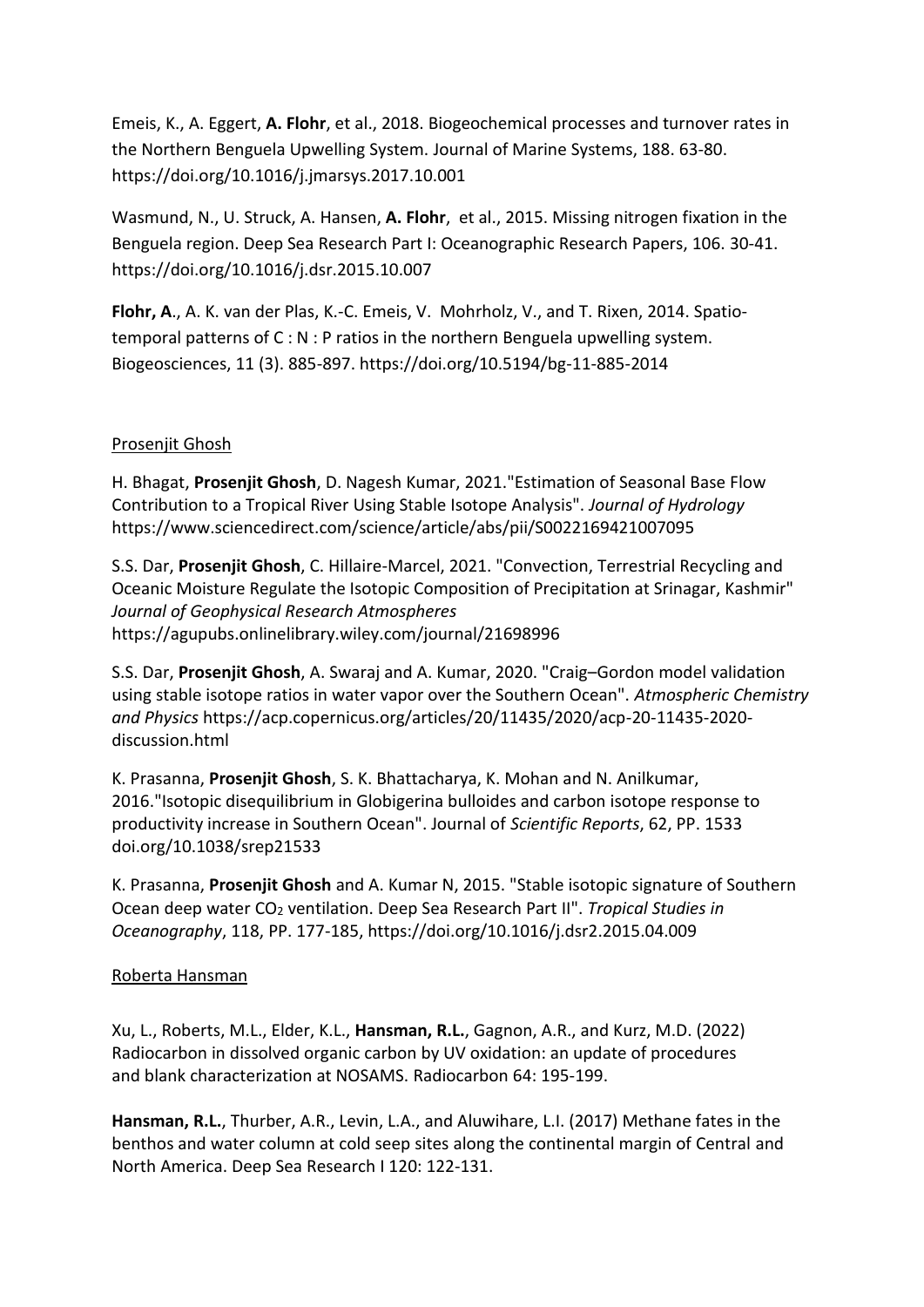Emeis, K., A. Eggert, **A. Flohr**, et al., 2018. [Biogeochemical processes and turnover rates in](http://nora.nerc.ac.uk/id/eprint/529446/)  [the Northern Benguela Upwelling System.](http://nora.nerc.ac.uk/id/eprint/529446/) Journal of Marine Systems, 188. 63-80. <https://doi.org/10.1016/j.jmarsys.2017.10.001>

Wasmund, N., U. Struck, A. Hansen, **A. Flohr**, et al., 2015. [Missing nitrogen fixation in the](http://nora.nerc.ac.uk/id/eprint/527116/)  [Benguela region.](http://nora.nerc.ac.uk/id/eprint/527116/) Deep Sea Research Part I: Oceanographic Research Papers, 106. 30-41. <https://doi.org/10.1016/j.dsr.2015.10.007>

**Flohr, A**., A. K. van der Plas, K.-C. Emeis, V. Mohrholz, V., and T. Rixen, 2014. [Spatio](http://nora.nerc.ac.uk/id/eprint/527117/)[temporal patterns of C : N : P ratios in the northern Benguela upwelling system.](http://nora.nerc.ac.uk/id/eprint/527117/) Biogeosciences, 11 (3). 885-897[. https://doi.org/10.5194/bg-11-885-2014](https://doi.org/10.5194/bg-11-885-2014)

## Prosenjit Ghosh

H. Bhagat, **Prosenjit Ghosh**, D. Nagesh Kumar, 2021."Estimation of Seasonal Base Flow Contribution to a Tropical River Using Stable Isotope Analysis". *Journal of Hydrology* <https://www.sciencedirect.com/science/article/abs/pii/S0022169421007095>

S.S. Dar, **Prosenjit Ghosh**, C. Hillaire-Marcel, 2021. "Convection, Terrestrial Recycling and Oceanic Moisture Regulate the Isotopic Composition of Precipitation at Srinagar, Kashmir" *Journal of Geophysical Research Atmospheres* <https://agupubs.onlinelibrary.wiley.com/journal/21698996>

S.S. Dar, **Prosenjit Ghosh**, A. Swaraj and A. Kumar, 2020. "Craig–Gordon model validation using stable isotope ratios in water vapor over the Southern Ocean". *Atmospheric Chemistry and Physics* [https://acp.copernicus.org/articles/20/11435/2020/acp-20-11435-2020](https://acp.copernicus.org/articles/20/11435/2020/acp-20-11435-2020-discussion.html) [discussion.html](https://acp.copernicus.org/articles/20/11435/2020/acp-20-11435-2020-discussion.html)

K. Prasanna, **Prosenjit Ghosh**, S. K. Bhattacharya, K. Mohan and N. Anilkumar, 2016."Isotopic disequilibrium in Globigerina bulloides and carbon isotope response to productivity increase in Southern Ocean". Journal of *Scientific Reports*, 62, PP. 1533 [doi.org/10.1038/srep21533](https://doi.org/10.1038/srep21533)

K. Prasanna, **Prosenjit Ghosh** and A. Kumar N, 2015. "Stable isotopic signature of Southern Ocean deep water CO<sup>2</sup> ventilation. Deep Sea Research Part II". *Tropical Studies in Oceanography*, 118, PP. 177-185, <https://doi.org/10.1016/j.dsr2.2015.04.009>

## Roberta Hansman

Xu, L., Roberts, M.L., Elder, K.L., **Hansman, R.L.**, Gagnon, A.R., and Kurz, M.D. (2022) Radiocarbon in dissolved organic carbon by UV oxidation: an update of procedures and blank characterization at NOSAMS. Radiocarbon 64: 195-199.

**Hansman, R.L.**, Thurber, A.R., Levin, L.A., and Aluwihare, L.I. (2017) Methane fates in the benthos and water column at cold seep sites along the continental margin of Central and North America. Deep Sea Research I 120: 122-131.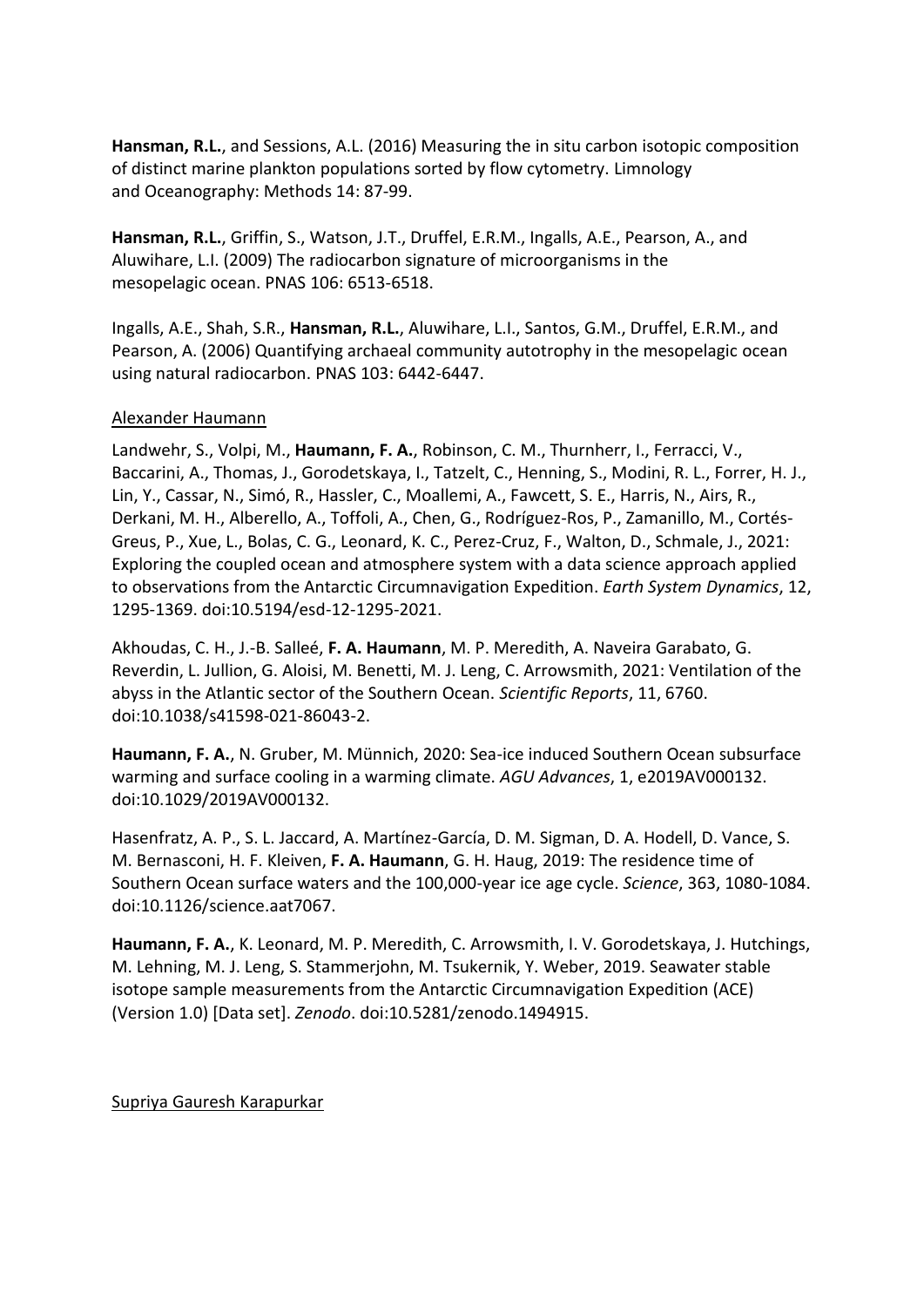**Hansman, R.L.**, and Sessions, A.L. (2016) Measuring the in situ carbon isotopic composition of distinct marine plankton populations sorted by flow cytometry. Limnology and Oceanography: Methods 14: 87-99.

**Hansman, R.L.**, Griffin, S., Watson, J.T., Druffel, E.R.M., Ingalls, A.E., Pearson, A., and Aluwihare, L.I. (2009) The radiocarbon signature of microorganisms in the mesopelagic ocean. PNAS 106: 6513-6518.

Ingalls, A.E., Shah, S.R., **Hansman, R.L.**, Aluwihare, L.I., Santos, G.M., Druffel, E.R.M., and Pearson, A. (2006) Quantifying archaeal community autotrophy in the mesopelagic ocean using natural radiocarbon. PNAS 103: 6442-6447.

#### Alexander Haumann

Landwehr, S., Volpi, M., **Haumann, F. A.**, Robinson, C. M., Thurnherr, I., Ferracci, V., Baccarini, A., Thomas, J., Gorodetskaya, I., Tatzelt, C., Henning, S., Modini, R. L., Forrer, H. J., Lin, Y., Cassar, N., Simó, R., Hassler, C., Moallemi, A., Fawcett, S. E., Harris, N., Airs, R., Derkani, M. H., Alberello, A., Toffoli, A., Chen, G., Rodríguez-Ros, P., Zamanillo, M., Cortés-Greus, P., Xue, L., Bolas, C. G., Leonard, K. C., Perez-Cruz, F., Walton, D., Schmale, J., 2021: Exploring the coupled ocean and atmosphere system with a data science approach applied to observations from the Antarctic Circumnavigation Expedition. *Earth System Dynamics*, 12, 1295-1369. doi:10.5194/esd-12-1295-2021.

Akhoudas, C. H., J.-B. Salleé, **F. A. Haumann**, M. P. Meredith, A. Naveira Garabato, G. Reverdin, L. Jullion, G. Aloisi, M. Benetti, M. J. Leng, C. Arrowsmith, 2021: Ventilation of the abyss in the Atlantic sector of the Southern Ocean. *Scientific Reports*, 11, 6760. doi:10.1038/s41598-021-86043-2.

**Haumann, F. A.**, N. Gruber, M. Münnich, 2020: Sea-ice induced Southern Ocean subsurface warming and surface cooling in a warming climate. *AGU Advances*, 1, e2019AV000132. doi:10.1029/2019AV000132.

Hasenfratz, A. P., S. L. Jaccard, A. Martínez-García, D. M. Sigman, D. A. Hodell, D. Vance, S. M. Bernasconi, H. F. Kleiven, **F. A. Haumann**, G. H. Haug, 2019: The residence time of Southern Ocean surface waters and the 100,000-year ice age cycle. *Science*, 363, 1080-1084. doi:10.1126/science.aat7067.

**Haumann, F. A.**, K. Leonard, M. P. Meredith, C. Arrowsmith, I. V. Gorodetskaya, J. Hutchings, M. Lehning, M. J. Leng, S. Stammerjohn, M. Tsukernik, Y. Weber, 2019. Seawater stable isotope sample measurements from the Antarctic Circumnavigation Expedition (ACE) (Version 1.0) [Data set]. *Zenodo*. doi:10.5281/zenodo.1494915.

Supriya Gauresh Karapurkar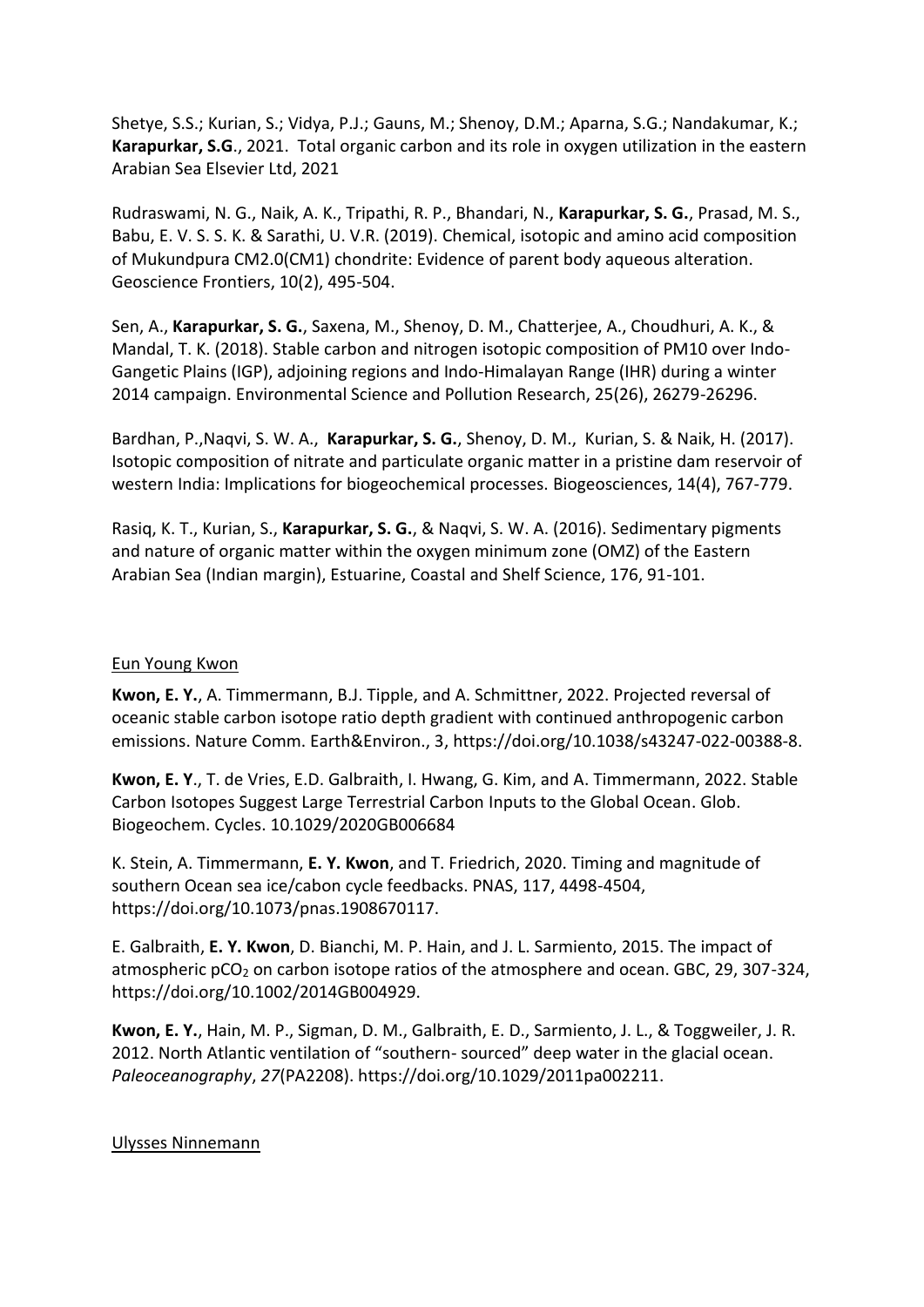Shetye, S.S.; Kurian, S.; Vidya, P.J.; Gauns, M.; Shenoy, D.M.; Aparna, S.G.; Nandakumar, K.; **Karapurkar, S.G**., 2021. [Total organic carbon and its role in oxygen utilization in the eastern](https://drs.nio.org/drs/handle/2264/8353)  [Arabian Sea](https://drs.nio.org/drs/handle/2264/8353) Elsevier Ltd, 2021

Rudraswami, N. G., Naik, A. K., Tripathi, R. P., Bhandari, N., **Karapurkar, S. G.**, Prasad, M. S., Babu, E. V. S. S. K. & Sarathi, U. V.R. (2019). Chemical, isotopic and amino acid composition of Mukundpura CM2.0(CM1) chondrite: Evidence of parent body aqueous alteration. Geoscience Frontiers, 10(2), 495-504.

Sen, A., **Karapurkar, S. G.**, Saxena, M., Shenoy, D. M., Chatterjee, A., Choudhuri, A. K., & Mandal, T. K. (2018). Stable carbon and nitrogen isotopic composition of PM10 over Indo-Gangetic Plains (IGP), adjoining regions and Indo-Himalayan Range (IHR) during a winter 2014 campaign. Environmental Science and Pollution Research, 25(26), 26279-26296.

Bardhan, P.,Naqvi, S. W. A., **Karapurkar, S. G.**, Shenoy, D. M., Kurian, S. & Naik, H. (2017). Isotopic composition of nitrate and particulate organic matter in a pristine dam reservoir of western India: Implications for biogeochemical processes. Biogeosciences, 14(4), 767-779.

Rasiq, K. T., Kurian, S., **Karapurkar, S. G.**, & Naqvi, S. W. A. (2016). Sedimentary pigments and nature of organic matter within the oxygen minimum zone (OMZ) of the Eastern Arabian Sea (Indian margin), Estuarine, Coastal and Shelf Science, 176, 91-101.

### Eun Young Kwon

**Kwon, E. Y.**, A. Timmermann, B.J. Tipple, and A. Schmittner, 2022. Projected reversal of oceanic stable carbon isotope ratio depth gradient with continued anthropogenic carbon emissions. Nature Comm. Earth&Environ., 3, https://doi.org/10.1038/s43247-022-00388-8.

**Kwon, E. Y**., T. de Vries, E.D. Galbraith, I. Hwang, G. Kim, and A. Timmermann, 2022. Stable Carbon Isotopes Suggest Large Terrestrial Carbon Inputs to the Global Ocean. Glob. Biogeochem. Cycles. 10.1029/2020GB006684

K. Stein, A. Timmermann, **E. Y. Kwon**[, and T. Friedrich, 2020. Timing and magnitude of](file:///C:/Users/Gilles%20Reverdin/Documents/ISOTOPES-H2O-13C/SCOR-WG-042022/K.%20Stein,%20A.%20Timmermann,%20E.%20Y.%20Kwon,%20and%20T.%20Friedrich,%202020.%20Timing%20and%20magnitude%20of%20southern%20Ocean%20sea%20ice/cabon%20cycle%20feedbacks.%20PNAS,%20117,%204498-4504,%20https:/doi.org/10.1073/pnas.1908670117)  [southern Ocean sea ice/cabon cycle feedbacks. PNAS, 117, 4498-4504,](file:///C:/Users/Gilles%20Reverdin/Documents/ISOTOPES-H2O-13C/SCOR-WG-042022/K.%20Stein,%20A.%20Timmermann,%20E.%20Y.%20Kwon,%20and%20T.%20Friedrich,%202020.%20Timing%20and%20magnitude%20of%20southern%20Ocean%20sea%20ice/cabon%20cycle%20feedbacks.%20PNAS,%20117,%204498-4504,%20https:/doi.org/10.1073/pnas.1908670117)  [https://doi.org/10.1073/pnas.1908670117.](file:///C:/Users/Gilles%20Reverdin/Documents/ISOTOPES-H2O-13C/SCOR-WG-042022/K.%20Stein,%20A.%20Timmermann,%20E.%20Y.%20Kwon,%20and%20T.%20Friedrich,%202020.%20Timing%20and%20magnitude%20of%20southern%20Ocean%20sea%20ice/cabon%20cycle%20feedbacks.%20PNAS,%20117,%204498-4504,%20https:/doi.org/10.1073/pnas.1908670117)

E. Galbraith, **E. Y. Kwon**, D. Bianchi, M. P. Hain, and J. L. Sarmiento, 2015. The impact of atmospheric  $pCO<sub>2</sub>$  on carbon isotope ratios of the atmosphere and ocean. GBC, 29, 307-324, https://doi.org/10.1002/2014GB004929.

**Kwon, E. Y.**, Hain, M. P., Sigman, D. M., Galbraith, E. D., Sarmiento, J. L., & Toggweiler, J. R. 2012. North Atlantic ventilation of "southern- sourced" deep water in the glacial ocean. *Paleoceanography*, *27*(PA2208)[. https://doi.org/10.1029/2011pa002211.](https://doi.org/10.1029/2011pa002211)

#### Ulysses Ninnemann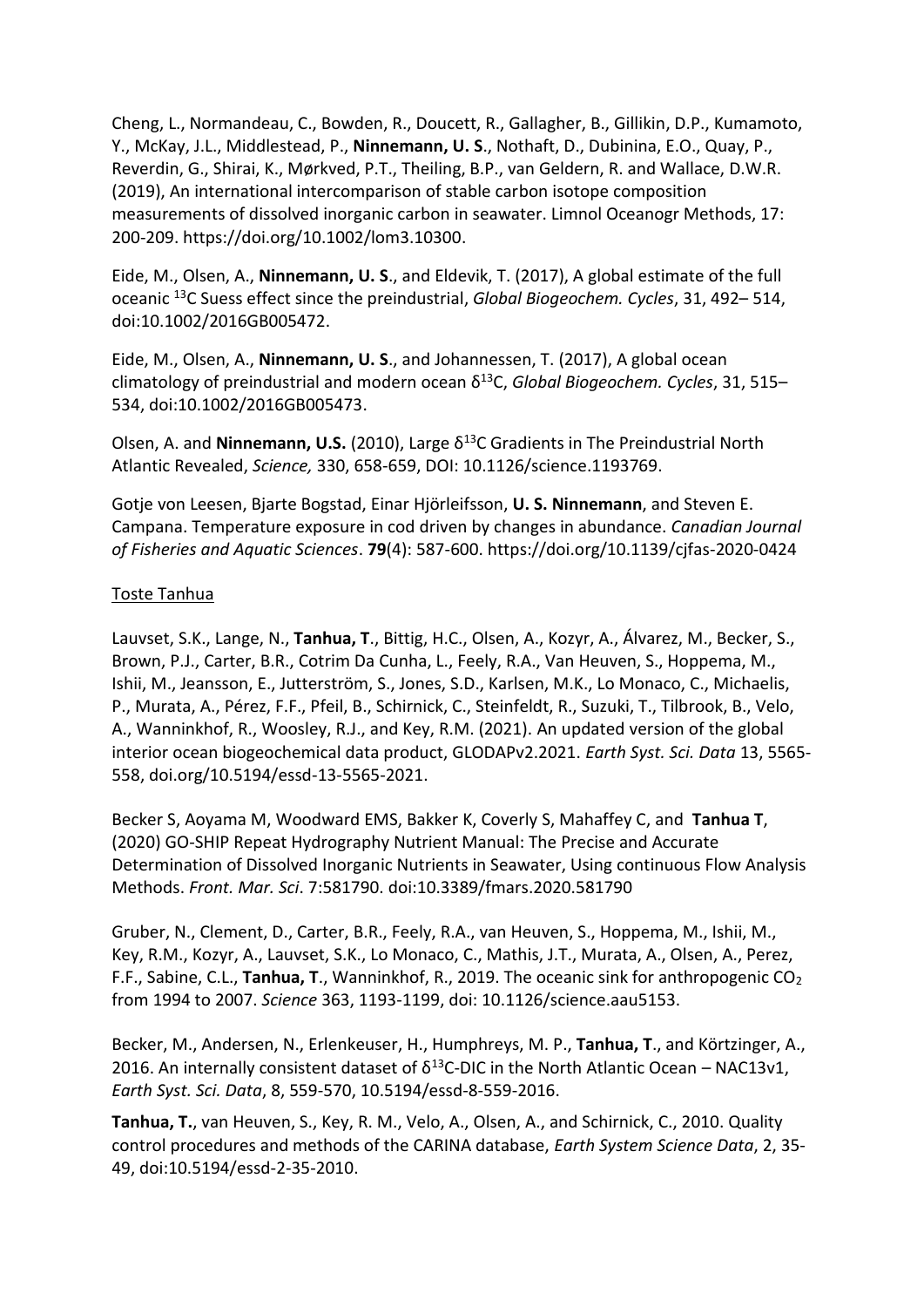Cheng, L., Normandeau, C., Bowden, R., Doucett, R., Gallagher, B., Gillikin, D.P., Kumamoto, Y., McKay, J.L., Middlestead, P., **Ninnemann, U. S**., Nothaft, D., Dubinina, E.O., Quay, P., Reverdin, G., Shirai, K., Mørkved, P.T., Theiling, B.P., van Geldern, R. and Wallace, D.W.R. (2019), An international intercomparison of stable carbon isotope composition measurements of dissolved inorganic carbon in seawater. Limnol Oceanogr Methods, 17: 200-209. [https://doi.org/10.1002/lom3.10300.](https://doi.org/10.1002/lom3.10300)

Eide, M., Olsen, A., **Ninnemann, U. S**., and Eldevik, T. (2017), A global estimate of the full oceanic <sup>13</sup>C Suess effect since the preindustrial, *Global Biogeochem. Cycles*, 31, 492– 514, doi[:10.1002/2016GB005472.](https://doi.org/10.1002/2016GB005472)

Eide, M., Olsen, A., **Ninnemann, U. S**., and Johannessen, T. (2017), A global ocean climatology of preindustrial and modern ocean δ<sup>13</sup>C, *Global Biogeochem. Cycles*, 31, 515– 534, doi[:10.1002/2016GB005473.](https://doi.org/10.1002/2016GB005473)

Olsen, A. and **Ninnemann, U.S.** (2010), Large δ<sup>13</sup>C Gradients in The Preindustrial North Atlantic Revealed, *Science,* [330, 658-659,](callto:330,%20658-659) [DOI: 10.1126/science.1193769.](https://doi.org/10.1126/science.1193769)

Gotje von Leesen, Bjarte Bogstad, Einar Hjörleifsson, **U. S. Ninnemann**, and Steven E. Campana. Temperature exposure in cod driven by changes in abundance. *Canadian Journal of Fisheries and Aquatic Sciences*. **79**(4): 587-600.<https://doi.org/10.1139/cjfas-2020-0424>

#### Toste Tanhua

Lauvset, S.K., Lange, N., **Tanhua, T**., Bittig, H.C., Olsen, A., Kozyr, A., Álvarez, M., Becker, S., Brown, P.J., Carter, B.R., Cotrim Da Cunha, L., Feely, R.A., Van Heuven, S., Hoppema, M., Ishii, M., Jeansson, E., Jutterström, S., Jones, S.D., Karlsen, M.K., Lo Monaco, C., Michaelis, P., Murata, A., Pérez, F.F., Pfeil, B., Schirnick, C., Steinfeldt, R., Suzuki, T., Tilbrook, B., Velo, A., Wanninkhof, R., Woosley, R.J., and Key, R.M. (2021). An updated version of the global interior ocean biogeochemical data product, GLODAPv2.2021. *Earth Syst. Sci. Data* [13, 5565-](callto:13,%205565-558) [558,](callto:13,%205565-558) doi.org/10.5194/essd[-13-5565-2021.](callto:13-5565-2021)

Becker S, Aoyama M, Woodward EMS, Bakker K, Coverly S, Mahaffey C, and **Tanhua T**, (2020) GO-SHIP Repeat Hydrography Nutrient Manual: The Precise and Accurate Determination of Dissolved Inorganic Nutrients in Seawater, Using continuous Flow Analysis Methods. *Front. Mar. Sci*. 7:581790. doi:10.3389/fmars.2020.581790

Gruber, N., Clement, D., Carter, B.R., Feely, R.A., van Heuven, S., Hoppema, M., Ishii, M., Key, R.M., Kozyr, A., Lauvset, S.K., Lo Monaco, C., Mathis, J.T., Murata, A., Olsen, A., Perez, F.F., Sabine, C.L., **Tanhua, T**., Wanninkhof, R., 2019. The oceanic sink for anthropogenic CO<sup>2</sup> from 1994 to 2007. *Science* [363, 1193-1199,](callto:363,%201193-1199) doi: 10.1126/science.aau5153.

Becker, M., Andersen, N., Erlenkeuser, H., Humphreys, M. P., **Tanhua, T**., and Körtzinger, A., 2016. An internally consistent dataset of  $\delta^{13}$ C-DIC in the North Atlantic Ocean – NAC13v1, *Earth Syst. Sci. Data*, [8, 559-570, 10.](callto:8,%20559-570,%2010)5194/essd-8-559-2016.

**Tanhua, T.**, van Heuven, S., Key, R. M., Velo, A., Olsen, A., and Schirnick, C., 2010. Quality control procedures and methods of the CARINA database, *Earth System Science Data*, 2, 35- 49, doi:10.5194/essd-2-35-2010.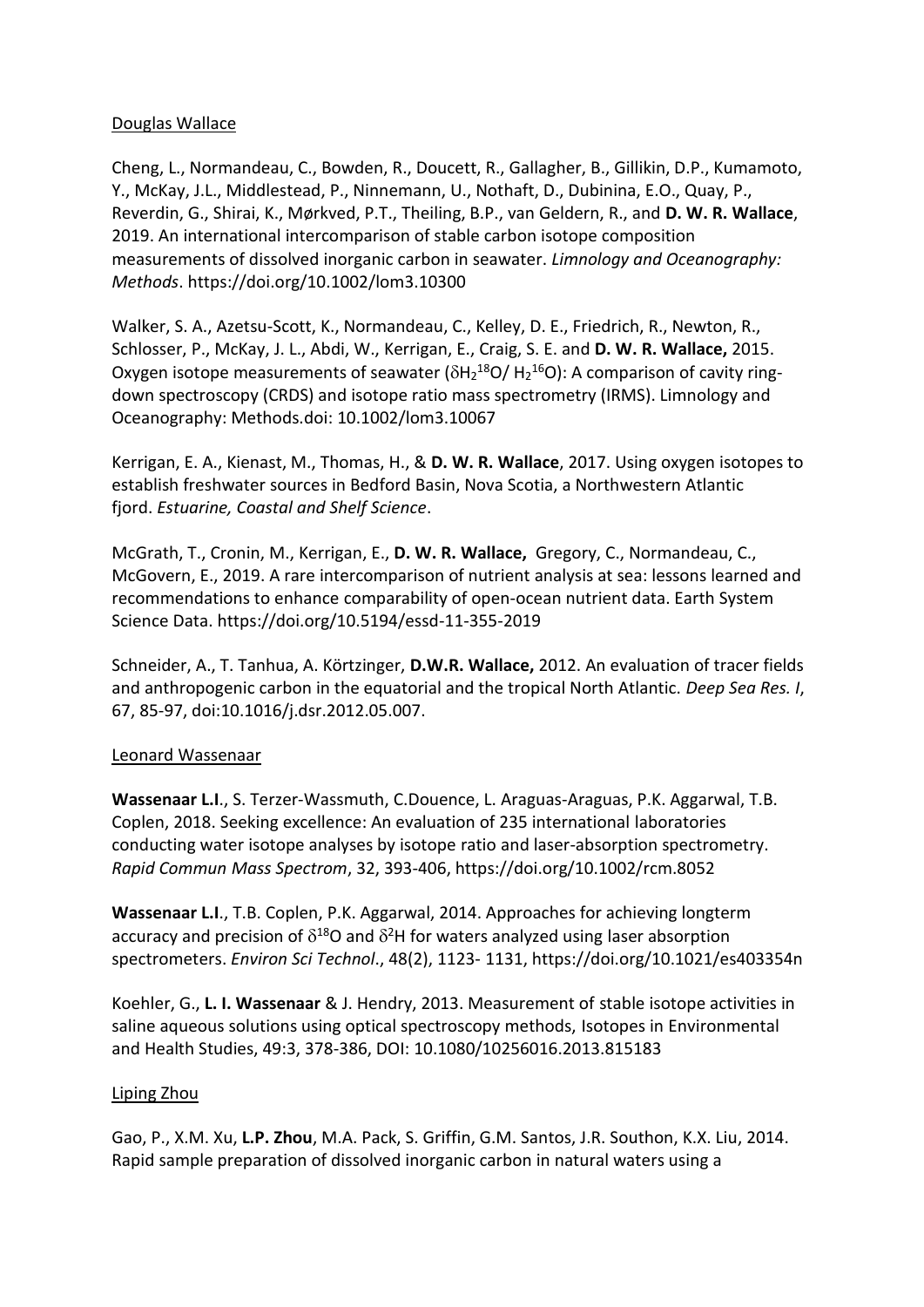### Douglas Wallace

[Cheng, L.,](https://www.dal.ca/diff/cerc/people/staff/cheng.html) [Normandeau, C.,](https://www.dal.ca/diff/cerc/people/staff/normandeau.html) Bowden, R., Doucett, R., Gallagher, B., Gillikin, D.P., Kumamoto, Y., McKay, J.L., Middlestead, P., Ninnemann, U., Nothaft, D., Dubinina, E.O., Quay, P., Reverdin, G., Shirai, K., Mørkved, P.T., Theiling, B.P., van Geldern, R., and **D. W. R. Wallace**, 2019. An international intercomparison of stable carbon isotope composition measurements of dissolved inorganic carbon in seawater. *Limnology and Oceanography: Methods*. <https://doi.org/10.1002/lom3.10300>

Walker, S. A., Azetsu-Scott, K., Normandeau, C., Kelley, D. E., Friedrich, R., Newton, R., Schlosser, P., McKay, J. L., Abdi, W., Kerrigan, E., Craig, S. E. and **D. W. R. Wallace,** 2015. Oxygen isotope measurements of seawater ( $\delta$ H<sub>2</sub><sup>18</sup>O/ H<sub>2</sub><sup>16</sup>O): A comparison of cavity ringdown spectroscopy (CRDS) and isotope ratio mass spectrometry (IRMS). Limnology and Oceanography: Methods.doi: [10.1002/lom3.10067](http://onlinelibrary.wiley.com/doi/10.1002/lom3.10067/abstract)

Kerrigan, E. A., Kienast, M., Thomas, H., & **D. W. R. Wallace**, 2017. Using oxygen isotopes to establish freshwater sources in Bedford Basin, Nova Scotia, a Northwestern Atlantic fjord. *Estuarine, Coastal and Shelf Science*.

McGrath, T., Cronin, M., [Kerrigan, E.,](https://www.dal.ca/diff/cerc/people/staff/kerrigan.html) **D. W. R. Wallace,** Gregory, C., [Normandeau, C.,](https://www.dal.ca/diff/cerc/people/staff/normandeau.html) McGovern, E., 2019. A rare intercomparison of nutrient analysis at sea: lessons learned and recommendations to enhance comparability of open-ocean nutrient data. Earth System Science Data. [https://doi.org/10.5194/essd-11-355-2019](https://www.earth-syst-sci-data.net/11/355/2019/)

Schneider, A., T. Tanhua, A. Körtzinger, **D.W.R. Wallace,** 2012. An evaluation of tracer fields and anthropogenic carbon in the equatorial and the tropical North Atlantic. *Deep Sea Res. I*, 67, 85-97, [doi:10.1016/j.dsr.2012.05.007.](http://dx.doi.org/doi:10.1016/j.dsr.2012.05.007)

#### Leonard Wassenaar

**Wassenaar L.I**., S. Terzer‐Wassmuth, C.Douence, L. Araguas‐Araguas, P.K. Aggarwal, T.B. Coplen, 2018. Seeking excellence: An evaluation of 235 international laboratories conducting water isotope analyses by isotope ratio and laser‐absorption spectrometry. *Rapid Commun Mass Spectrom*, 32, 393‐406, <https://doi.org/10.1002/rcm.8052>

**Wassenaar L.I**., T.B. Coplen, P.K. Aggarwal, 2014. Approaches for achieving longterm accuracy and precision of  $\delta^{18}$ O and  $\delta^2$ H for waters analyzed using laser absorption spectrometers. *Environ Sci Technol*., 48(2), 1123‐ 1131, <https://doi.org/10.1021/es403354n>

Koehler, G., **L. I. Wassenaar** & J. Hendry, 2013. Measurement of stable isotope activities in saline aqueous solutions using optical spectroscopy methods, Isotopes in Environmental and Health Studies, 49:3, 378-386, DOI: 10.1080/10256016.2013.815183

#### Liping Zhou

Gao, P., X.M. Xu, **L.P. Zhou**, M.A. Pack, S. Griffin, G.M. Santos, J.R. Southon, K.X. Liu, 2014. Rapid sample preparation of dissolved inorganic carbon in natural waters using a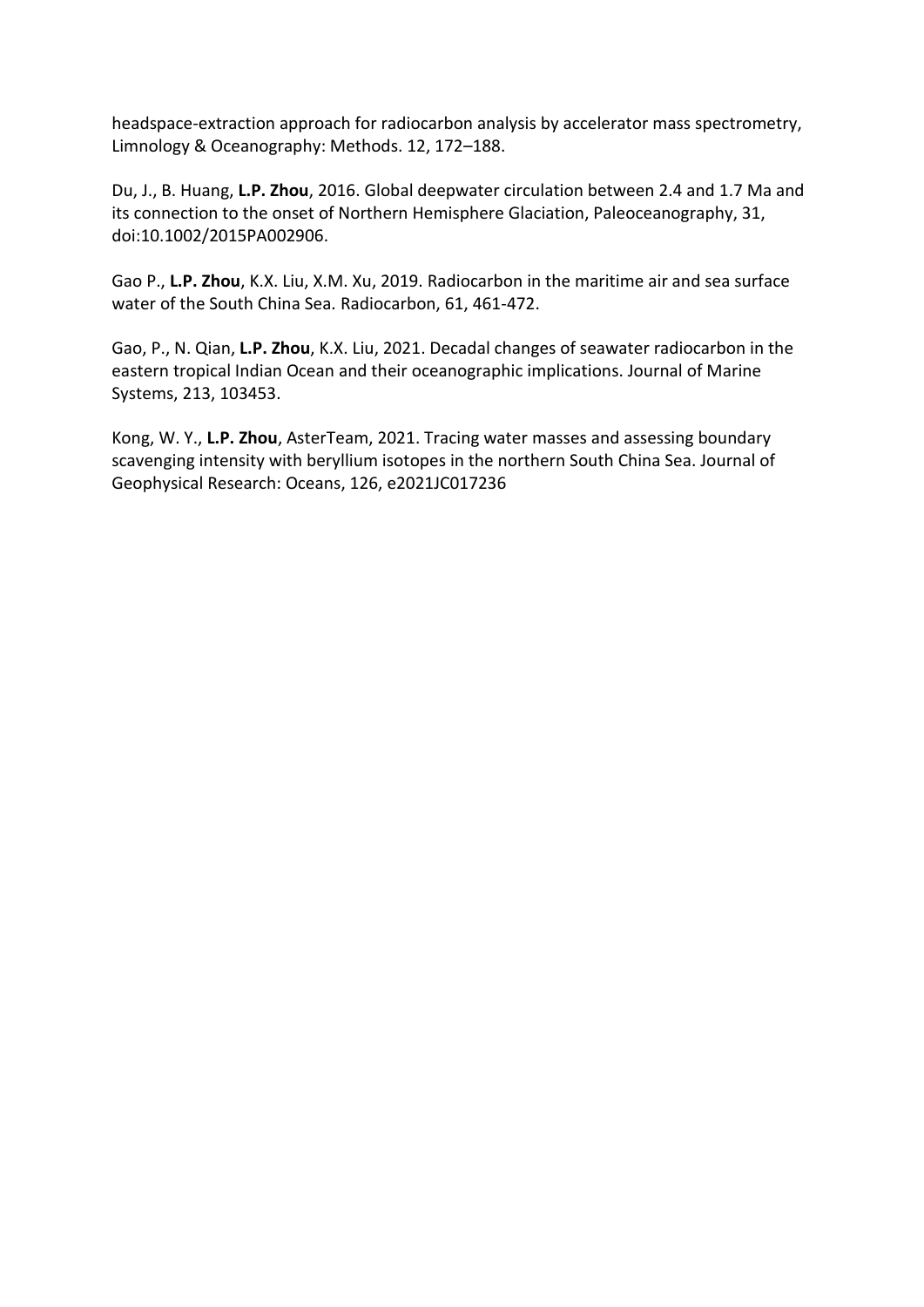headspace-extraction approach for radiocarbon analysis by accelerator mass spectrometry, Limnology & Oceanography: Methods. 12, 172–188.

Du, J., B. Huang, **L.P. Zhou**, 2016. Global deepwater circulation between 2.4 and 1.7 Ma and its connection to the onset of Northern Hemisphere Glaciation, Paleoceanography, 31, doi:10.1002/2015PA002906.

Gao P., **L.P. Zhou**, K.X. Liu, X.M. Xu, 2019. Radiocarbon in the maritime air and sea surface water of the South China Sea. Radiocarbon, 61, 461-472.

Gao, P., N. Qian, **L.P. Zhou**, K.X. Liu, 2021. Decadal changes of seawater radiocarbon in the eastern tropical Indian Ocean and their oceanographic implications. Journal of Marine Systems, 213, 103453.

Kong, W. Y., **L.P. Zhou**, AsterTeam, 2021. Tracing water masses and assessing boundary scavenging intensity with beryllium isotopes in the northern South China Sea. Journal of Geophysical Research: Oceans, 126, e2021JC017236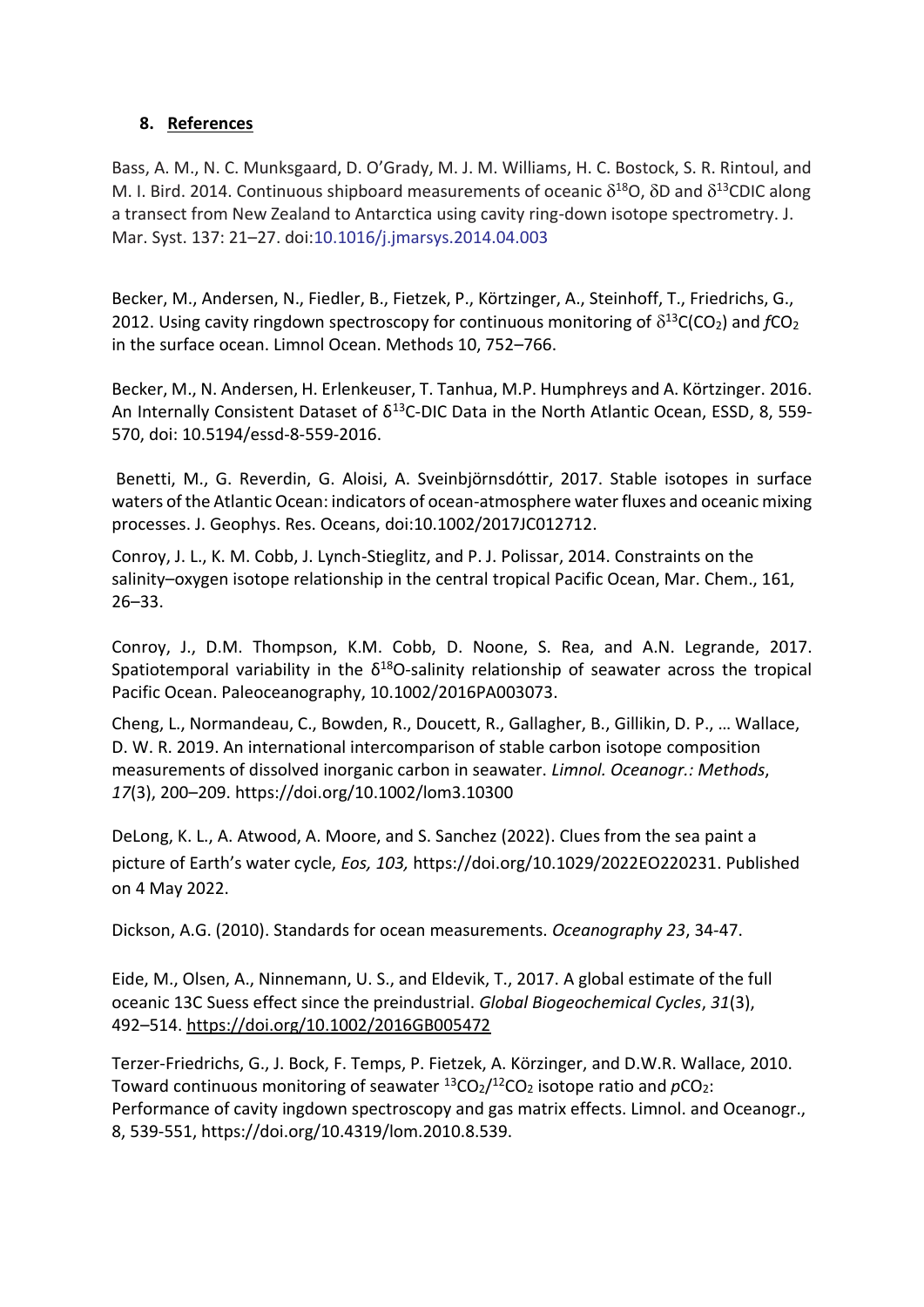### **8. References**

Bass, A. M., N. C. Munksgaard, D. O'Grady, M. J. M. Williams, H. C. Bostock, S. R. Rintoul, and M. I. Bird. 2014. Continuous shipboard measurements of oceanic  $\delta^{18}$ O,  $\delta$ D and  $\delta^{13}$ CDIC along a transect from New Zealand to Antarctica using cavity ring-down isotope spectrometry. J. Mar. Syst. 137: 21–27. doi:10.1016/j.jmarsys.2014.04.003

Becker, M., Andersen, N., Fiedler, B., Fietzek, P., Körtzinger, A., Steinhoff, T., Friedrichs, G., 2012. Using cavity ringdown spectroscopy for continuous monitoring of  $\delta^{13}C(CO_2)$  and  $fCO_2$ in the surface ocean. Limnol Ocean. Methods 10, 752–766.

Becker, M., N. Andersen, H. Erlenkeuser, T. Tanhua, M.P. Humphreys and A. Körtzinger. 2016. An Internally Consistent Dataset of  $\delta^{13}$ C-DIC Data in the North Atlantic Ocean, ESSD, 8, 559-570, doi: 10.5194/essd-8-559-2016.

Benetti, M., G. Reverdin, G. Aloisi, A. Sveinbjörnsdóttir, 2017. Stable isotopes in surface waters of the Atlantic Ocean: indicators of ocean-atmosphere water fluxes and oceanic mixing processes. J. Geophys. Res. Oceans, doi:10.1002/2017JC012712.

Conroy, J. L., K. M. Cobb, J. Lynch-Stieglitz, and P. J. Polissar, 2014. Constraints on the salinity–oxygen isotope relationship in the central tropical Pacific Ocean, Mar. Chem., 161, 26–33.

Conroy, J., D.M. Thompson, K.M. Cobb, D. Noone, S. Rea, and A.N. Legrande, 2017. Spatiotemporal variability in the  $\delta^{18}$ O-salinity relationship of seawater across the tropical Pacific Ocean. Paleoceanography, 10.1002/2016PA003073.

Cheng, L., Normandeau, C., Bowden, R., Doucett, R., Gallagher, B., Gillikin, D. P., … Wallace, D. W. R. 2019. An international intercomparison of stable carbon isotope composition measurements of dissolved inorganic carbon in seawater. *Limnol. Oceanogr.: Methods*, *17*(3), 200–209. <https://doi.org/10.1002/lom3.10300>

DeLong, K. L., A. Atwood, A. Moore, and S. Sanchez (2022). Clues from the sea paint a picture of Earth's water cycle, *Eos, 103,* [https://doi.org/10.1029/2022EO220231.](https://doi.org/10.1029/2022EO220231) Published on 4 May 2022.

Dickson, A.G. (2010). Standards for ocean measurements. *Oceanography 23*, 34-47.

Eide, M., Olsen, A., Ninnemann, U. S., and Eldevik, T., 2017. A global estimate of the full oceanic 13C Suess effect since the preindustrial. *Global Biogeochemical Cycles*, *31*(3), 492–514.<https://doi.org/10.1002/2016GB005472>

Terzer-Friedrichs, G., J. Bock, F. Temps, P. Fietzek, A. Körzinger, and D.W.R. Wallace, 2010. Toward continuous monitoring of seawater  $^{13}CO_2/^{12}CO_2$  isotope ratio and  $pCO_2$ : Performance of cavity ingdown spectroscopy and gas matrix effects. Limnol. and Oceanogr., 8, 539-551, https://doi.org/10.4319/lom.2010.8.539.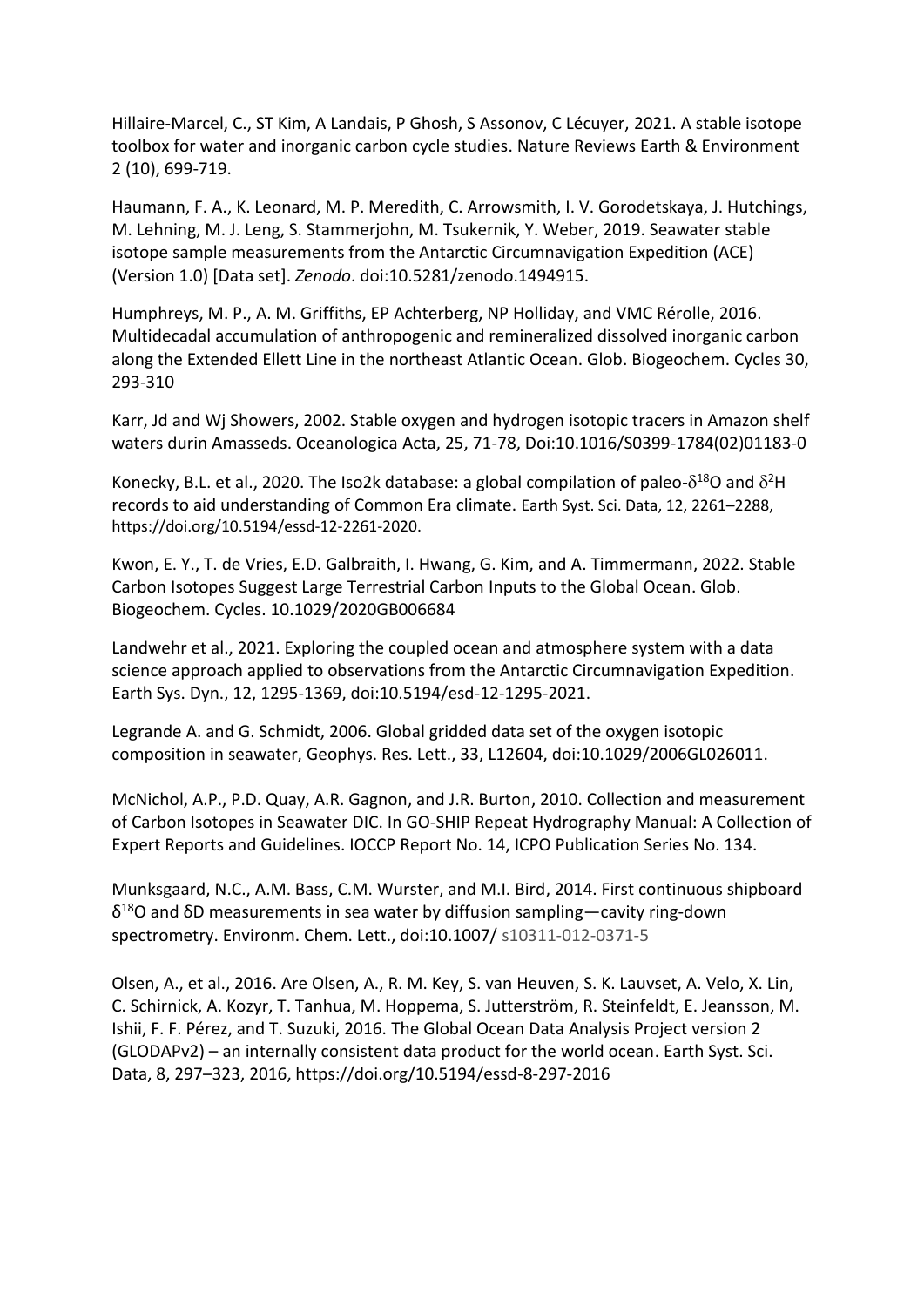Hillaire-Marcel, C., ST Kim, A Landais, P Ghosh, S Assonov, C Lécuyer, 2021. [A stable isotope](https://scholar.google.co.in/citations?view_op=view_citation&hl=en&user=SOkaQdkAAAAJ&cstart=20&pagesize=80&citation_for_view=SOkaQdkAAAAJ:kJDgFkosVoMC)  [toolbox for water and inorganic carbon cycle studies.](https://scholar.google.co.in/citations?view_op=view_citation&hl=en&user=SOkaQdkAAAAJ&cstart=20&pagesize=80&citation_for_view=SOkaQdkAAAAJ:kJDgFkosVoMC) Nature Reviews Earth & Environment 2 (10), 699-719.

Haumann, F. A., K. Leonard, M. P. Meredith, C. Arrowsmith, I. V. Gorodetskaya, J. Hutchings, M. Lehning, M. J. Leng, S. Stammerjohn, M. Tsukernik, Y. Weber, 2019. Seawater stable isotope sample measurements from the Antarctic Circumnavigation Expedition (ACE) (Version 1.0) [Data set]. *Zenodo*. doi:10.5281/zenodo.1494915.

Humphreys, M. P., A. M. Griffiths, EP Achterberg, NP Holliday, and VMC Rérolle, 2016. [Multidecadal accumulation of anthropogenic and remineralized dissolved inorganic carbon](https://scholar.google.com/citations?view_op=view_citation&hl=en&user=FAuQyqMAAAAJ&citation_for_view=FAuQyqMAAAAJ:9yKSN-GCB0IC)  [along the Extended Ellett Line in the northeast Atlantic Ocean.](https://scholar.google.com/citations?view_op=view_citation&hl=en&user=FAuQyqMAAAAJ&citation_for_view=FAuQyqMAAAAJ:9yKSN-GCB0IC) Glob. Biogeochem. Cycles 30, 293-310

Karr, Jd and Wj Showers, 2002. Stable oxygen and hydrogen isotopic tracers in Amazon shelf waters durin Amasseds. Oceanologica Acta, 25, 71-78, Doi:10.1016/S0399-1784(02)01183-0

Konecky, B.L. et al., 2020. The Iso2k database: a global compilation of paleo- $\delta^{18}O$  and  $\delta^2H$ records to aid understanding of Common Era climate. Earth Syst. Sci. Data, 12, 2261–2288, https://doi.org/10.5194/essd-12-2261-2020.

Kwon, E. Y., T. de Vries, E.D. Galbraith, I. Hwang, G. Kim, and A. Timmermann, 2022. Stable Carbon Isotopes Suggest Large Terrestrial Carbon Inputs to the Global Ocean. Glob. Biogeochem. Cycles. 10.1029/2020GB006684

Landwehr et al., 2021. Exploring the coupled ocean and atmosphere system with a data science approach applied to observations from the Antarctic Circumnavigation Expedition. Earth Sys. Dyn., 12, 1295-1369, doi:10.5194/esd-12-1295-2021.

Legrande A. and G. Schmidt, 2006. Global gridded data set of the oxygen isotopic composition in seawater, Geophys. Res. Lett., 33, L12604, doi:10.1029/2006GL026011.

McNichol, A.P., P.D. Quay, A.R. Gagnon, and J.R. Burton, 2010. Collection and measurement of Carbon Isotopes in Seawater DIC. In GO-SHIP Repeat Hydrography Manual: A Collection of Expert Reports and Guidelines. IOCCP Report No. 14, ICPO Publication Series No. 134.

Munksgaard, N.C., A.M. Bass, C.M. Wurster, and M.I. Bird, 2014. First continuous shipboard δ <sup>18</sup>O and δD measurements in sea water by diffusion sampling—cavity ring-down spectrometry. Environm. Chem. Lett., doi:10.1007/ s10311-012-0371-5

Olsen, A., et al., 2016. Are Olsen, A., R. M. Key, S. van Heuven, S. K. Lauvset, A. Velo, X. Lin, C. Schirnick, A. Kozyr, T. Tanhua, M. Hoppema, S. Jutterström, R. Steinfeldt, E. Jeansson, M. Ishii, F. F. Pérez, and T. Suzuki, 2016. The Global Ocean Data Analysis Project version 2 (GLODAPv2) – an internally consistent data product for the world ocean. Earth Syst. Sci. Data, 8, 297–323, 2016, https://doi.org/10.5194/essd-8-297-2016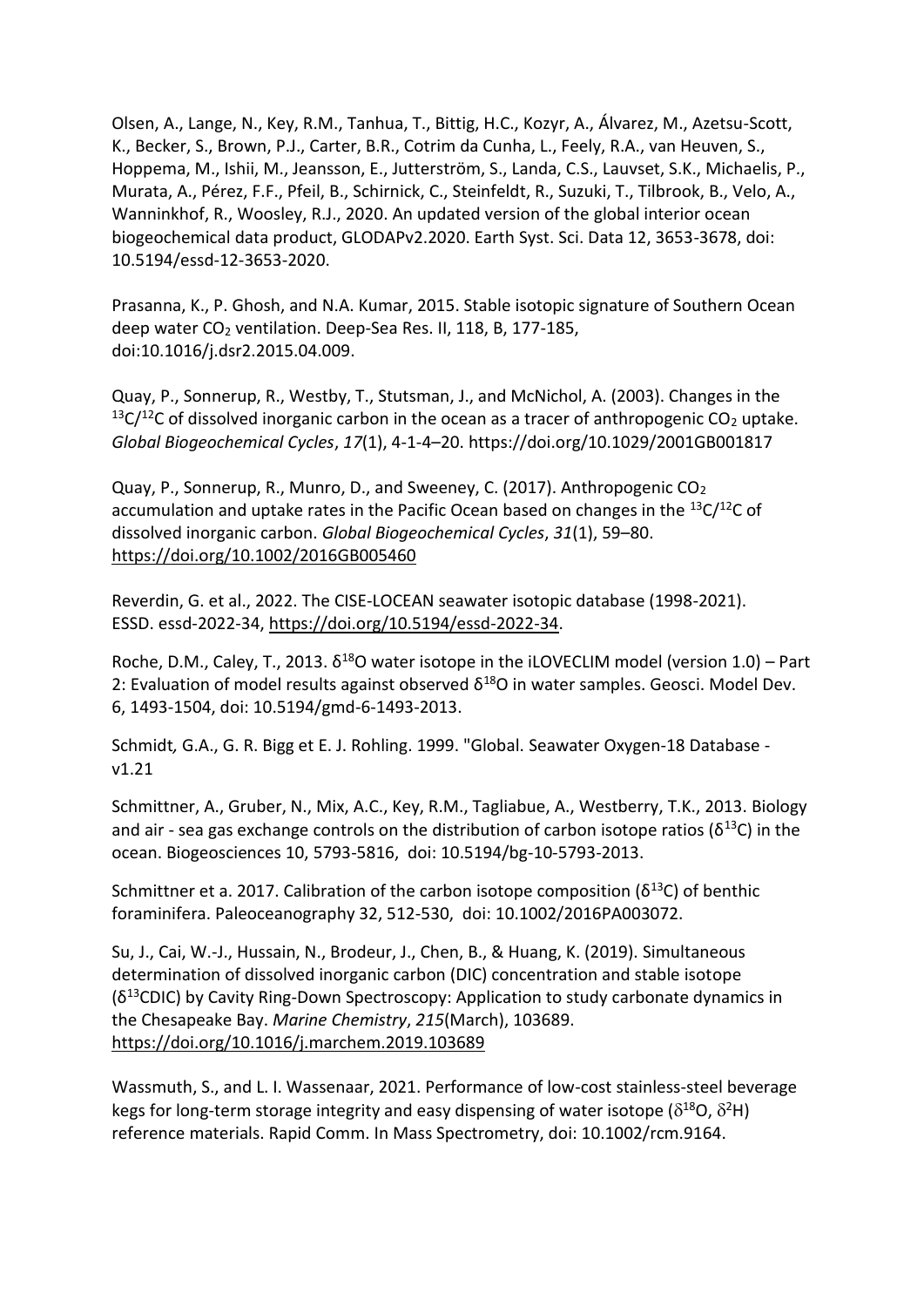Olsen, A., Lange, N., Key, R.M., Tanhua, T., Bittig, H.C., Kozyr, A., Álvarez, M., Azetsu-Scott, K., Becker, S., Brown, P.J., Carter, B.R., Cotrim da Cunha, L., Feely, R.A., van Heuven, S., Hoppema, M., Ishii, M., Jeansson, E., Jutterström, S., Landa, C.S., Lauvset, S.K., Michaelis, P., Murata, A., Pérez, F.F., Pfeil, B., Schirnick, C., Steinfeldt, R., Suzuki, T., Tilbrook, B., Velo, A., Wanninkhof, R., Woosley, R.J., 2020. An updated version of the global interior ocean biogeochemical data product, GLODAPv2.2020. Earth Syst. Sci. Data 12, 3653-3678, doi: 10.5194/essd-12-3653-2020.

Prasanna, K., P. Ghosh, and N.A. Kumar, 2015. Stable isotopic signature of Southern Ocean deep water CO<sub>2</sub> ventilation. Deep-Sea Res. II, 118, B, 177-185, doi:10.1016/j.dsr2.2015.04.009.

Quay, P., Sonnerup, R., Westby, T., Stutsman, J., and McNichol, A. (2003). Changes in the  $13C/12C$  of dissolved inorganic carbon in the ocean as a tracer of anthropogenic CO<sub>2</sub> uptake. *Global Biogeochemical Cycles*, *17*(1), 4-1-4–20. https://doi.org/10.1029/2001GB001817

Quay, P., Sonnerup, R., Munro, D., and Sweeney, C. (2017). Anthropogenic CO<sup>2</sup> accumulation and uptake rates in the Pacific Ocean based on changes in the  $^{13}C/^{12}C$  of dissolved inorganic carbon. *Global Biogeochemical Cycles*, *31*(1), 59–80. <https://doi.org/10.1002/2016GB005460>

Reverdin, G. et al., 2022. The CISE-LOCEAN seawater isotopic database (1998-2021). ESSD. essd-2022-34, [https://doi.org/10.5194/essd-2022-34.](https://doi.org/10.5194/essd-2022-34)

Roche, D.M., Caley, T., 2013.  $\delta^{18}$ O water isotope in the iLOVECLIM model (version 1.0) – Part 2: Evaluation of model results against observed  $\delta^{18}O$  in water samples. Geosci. Model Dev. 6, 1493-1504, doi: 10.5194/gmd-6-1493-2013.

Schmidt*,* G.A., G. R. Bigg et E. J. Rohling. 1999. "Global. Seawater Oxygen-18 Database v1.21

Schmittner, A., Gruber, N., Mix, A.C., Key, R.M., Tagliabue, A., Westberry, T.K., 2013. Biology and air - sea gas exchange controls on the distribution of carbon isotope ratios ( $\delta^{13}C$ ) in the ocean. Biogeosciences 10, 5793-5816, doi: 10.5194/bg-10-5793-2013.

Schmittner et a. 2017. Calibration of the carbon isotope composition ( $\delta^{13}$ C) of benthic foraminifera. Paleoceanography 32, 512-530, doi: 10.1002/2016PA003072.

Su, J., Cai, W.-J., Hussain, N., Brodeur, J., Chen, B., & Huang, K. (2019). Simultaneous determination of dissolved inorganic carbon (DIC) concentration and stable isotope (δ <sup>13</sup>CDIC) by Cavity Ring-Down Spectroscopy: Application to study carbonate dynamics in the Chesapeake Bay. *Marine Chemistry*, *215*(March), 103689. <https://doi.org/10.1016/j.marchem.2019.103689>

Wassmuth, S., and L. I. Wassenaar, 2021. Performance of low-cost stainless-steel beverage kegs for long-term storage integrity and easy dispensing of water isotope ( $\delta^{18}$ O,  $\delta^2$ H) reference materials. Rapid Comm. In Mass Spectrometry, doi: 10.1002/rcm.9164.